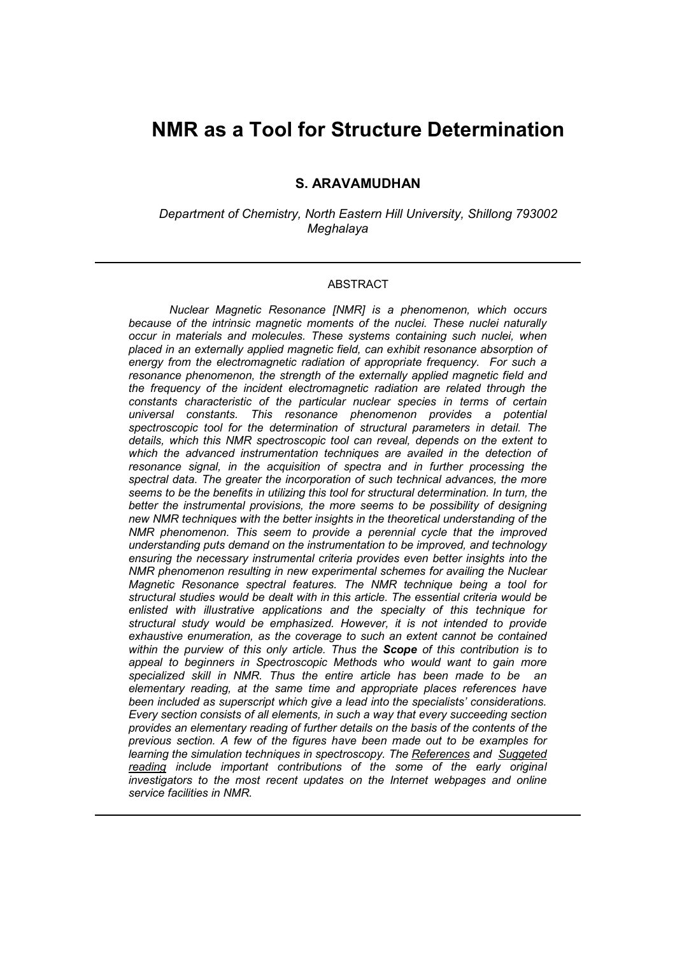## **NMR as a Tool for Structure Determination**

### **S. ARAVAMUDHAN**

*Department of Chemistry, North Eastern Hill University, Shillong 793002 Meghalaya*

### ABSTRACT

*Nuclear Magnetic Resonance [NMR] is a phenomenon, which occurs because of the intrinsic magnetic moments of the nuclei. These nuclei naturally occur in materials and molecules. These systems containing such nuclei, when placed in an externally applied magnetic field, can exhibit resonance absorption of energy from the electromagnetic radiation of appropriate frequency. For such a resonance phenomenon, the strength of the externally applied magnetic field and the frequency of the incident electromagnetic radiation are related through the constants characteristic of the particular nuclear species in terms of certain universal constants. This resonance phenomenon provides a potential spectroscopic tool for the determination of structural parameters in detail. The details, which this NMR spectroscopic tool can reveal, depends on the extent to*  which the advanced instrumentation techniques are availed in the detection of *resonance signal, in the acquisition of spectra and in further processing the spectral data. The greater the incorporation of such technical advances, the more seems to be the benefits in utilizing this tool for structural determination. In turn, the better the instrumental provisions, the more seems to be possibility of designing new NMR techniques with the better insights in the theoretical understanding of the NMR phenomenon. This seem to provide a perennial cycle that the improved understanding puts demand on the instrumentation to be improved, and technology ensuring the necessary instrumental criteria provides even better insights into the NMR phenomenon resulting in new experimental schemes for availing the Nuclear Magnetic Resonance spectral features. The NMR technique being a tool for structural studies would be dealt with in this article. The essential criteria would be enlisted with illustrative applications and the specialty of this technique for structural study would be emphasized. However, it is not intended to provide exhaustive enumeration, as the coverage to such an extent cannot be contained within the purview of this only article. Thus the Scope of this contribution is to appeal to beginners in Spectroscopic Methods who would want to gain more specialized skill in NMR. Thus the entire article has been made to be an elementary reading, at the same time and appropriate places references have been included as superscript which give a lead into the specialists' considerations. Every section consists of all elements, in such a way that every succeeding section provides an elementary reading of further details on the basis of the contents of the previous section. A few of the figures have been made out to be examples for learning the simulation techniques in spectroscopy. The References and Suggeted reading include important contributions of the some of the early original investigators to the most recent updates on the Internet webpages and online service facilities in NMR.*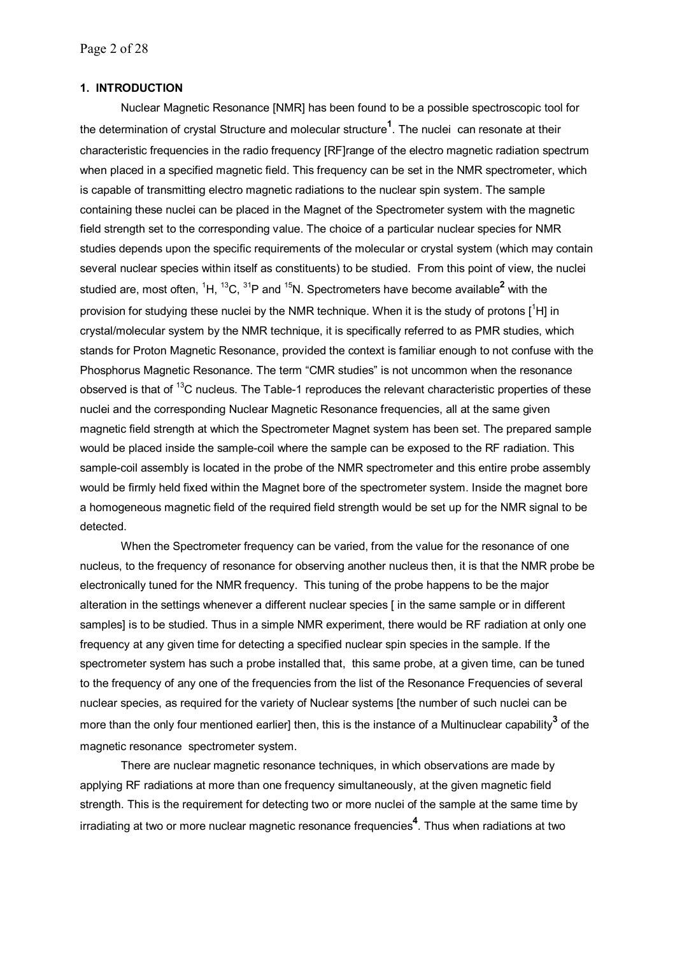## **1. INTRODUCTION**

Nuclear Magnetic Resonance [NMR] has been found to be a possible spectroscopic tool for the determination of crystal Structure and molecular structure**<sup>1</sup>** . The nuclei can resonate at their characteristic frequencies in the radio frequency [RF]range of the electro magnetic radiation spectrum when placed in a specified magnetic field. This frequency can be set in the NMR spectrometer, which is capable of transmitting electro magnetic radiations to the nuclear spin system. The sample containing these nuclei can be placed in the Magnet of the Spectrometer system with the magnetic field strength set to the corresponding value. The choice of a particular nuclear species for NMR studies depends upon the specific requirements of the molecular or crystal system (which may contain several nuclear species within itself as constituents) to be studied. From this point of view, the nuclei studied are, most often, <sup>1</sup>H, <sup>13</sup>C, <sup>31</sup>P and <sup>15</sup>N. Spectrometers have become available<sup>2</sup> with the provision for studying these nuclei by the NMR technique. When it is the study of protons  $[$ <sup>1</sup>H] in crystal/molecular system by the NMR technique, it is specifically referred to as PMR studies, which stands for Proton Magnetic Resonance, provided the context is familiar enough to not confuse with the Phosphorus Magnetic Resonance. The term "CMR studies" is not uncommon when the resonance observed is that of <sup>13</sup>C nucleus. The Table-1 reproduces the relevant characteristic properties of these nuclei and the corresponding Nuclear Magnetic Resonance frequencies, all at the same given magnetic field strength at which the Spectrometer Magnet system has been set. The prepared sample would be placed inside the sample-coil where the sample can be exposed to the RF radiation. This sample-coil assembly is located in the probe of the NMR spectrometer and this entire probe assembly would be firmly held fixed within the Magnet bore of the spectrometer system. Inside the magnet bore a homogeneous magnetic field of the required field strength would be set up for the NMR signal to be detected.

When the Spectrometer frequency can be varied, from the value for the resonance of one nucleus, to the frequency of resonance for observing another nucleus then, it is that the NMR probe be electronically tuned for the NMR frequency. This tuning of the probe happens to be the major alteration in the settings whenever a different nuclear species [ in the same sample or in different samples] is to be studied. Thus in a simple NMR experiment, there would be RF radiation at only one frequency at any given time for detecting a specified nuclear spin species in the sample. If the spectrometer system has such a probe installed that, this same probe, at a given time, can be tuned to the frequency of any one of the frequencies from the list of the Resonance Frequencies of several nuclear species, as required for the variety of Nuclear systems [the number of such nuclei can be more than the only four mentioned earlier] then, this is the instance of a Multinuclear capability<sup>3</sup> of the magnetic resonance spectrometer system.

There are nuclear magnetic resonance techniques, in which observations are made by applying RF radiations at more than one frequency simultaneously, at the given magnetic field strength. This is the requirement for detecting two or more nuclei of the sample at the same time by irradiating at two or more nuclear magnetic resonance frequencies**<sup>4</sup>** . Thus when radiations at two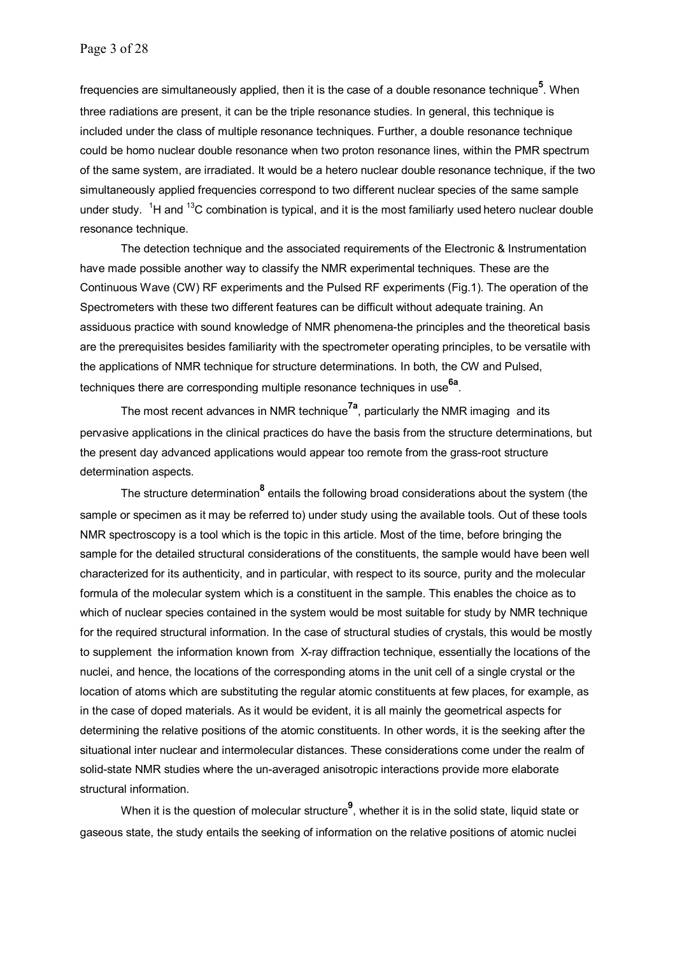frequencies are simultaneously applied, then it is the case of a double resonance technique**<sup>5</sup>** . When three radiations are present, it can be the triple resonance studies. In general, this technique is included under the class of multiple resonance techniques. Further, a double resonance technique could be homo nuclear double resonance when two proton resonance lines, within the PMR spectrum of the same system, are irradiated. It would be a hetero nuclear double resonance technique, if the two simultaneously applied frequencies correspond to two different nuclear species of the same sample under study. <sup>1</sup>H and <sup>13</sup>C combination is typical, and it is the most familiarly used hetero nuclear double resonance technique.

The detection technique and the associated requirements of the Electronic & Instrumentation have made possible another way to classify the NMR experimental techniques. These are the Continuous Wave (CW) RF experiments and the Pulsed RF experiments (Fig.1). The operation of the Spectrometers with these two different features can be difficult without adequate training. An assiduous practice with sound knowledge of NMR phenomena-the principles and the theoretical basis are the prerequisites besides familiarity with the spectrometer operating principles, to be versatile with the applications of NMR technique for structure determinations. In both, the CW and Pulsed, techniques there are corresponding multiple resonance techniques in use**6a**.

The most recent advances in NMR technique**7a**, particularly the NMR imaging and its pervasive applications in the clinical practices do have the basis from the structure determinations, but the present day advanced applications would appear too remote from the grass-root structure determination aspects.

The structure determination<sup>8</sup> entails the following broad considerations about the system (the sample or specimen as it may be referred to) under study using the available tools. Out of these tools NMR spectroscopy is a tool which is the topic in this article. Most of the time, before bringing the sample for the detailed structural considerations of the constituents, the sample would have been well characterized for its authenticity, and in particular, with respect to its source, purity and the molecular formula of the molecular system which is a constituent in the sample. This enables the choice as to which of nuclear species contained in the system would be most suitable for study by NMR technique for the required structural information. In the case of structural studies of crystals, this would be mostly to supplement the information known from X-ray diffraction technique, essentially the locations of the nuclei, and hence, the locations of the corresponding atoms in the unit cell of a single crystal or the location of atoms which are substituting the regular atomic constituents at few places, for example, as in the case of doped materials. As it would be evident, it is all mainly the geometrical aspects for determining the relative positions of the atomic constituents. In other words, it is the seeking after the situational inter nuclear and intermolecular distances. These considerations come under the realm of solid-state NMR studies where the un-averaged anisotropic interactions provide more elaborate structural information.

When it is the question of molecular structure**<sup>9</sup>** , whether it is in the solid state, liquid state or gaseous state, the study entails the seeking of information on the relative positions of atomic nuclei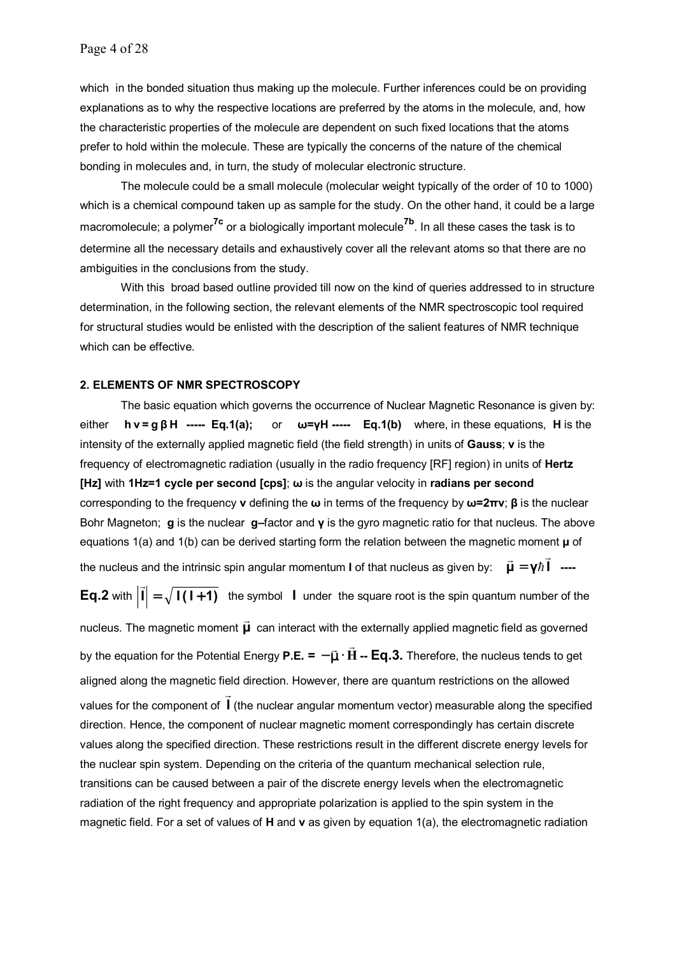which in the bonded situation thus making up the molecule. Further inferences could be on providing explanations as to why the respective locations are preferred by the atoms in the molecule, and, how the characteristic properties of the molecule are dependent on such fixed locations that the atoms prefer to hold within the molecule. These are typically the concerns of the nature of the chemical bonding in molecules and, in turn, the study of molecular electronic structure.

The molecule could be a small molecule (molecular weight typically of the order of 10 to 1000) which is a chemical compound taken up as sample for the study. On the other hand, it could be a large macromolecule; a polymer**7c** or a biologically important molecule**7b**. In all these cases the task is to determine all the necessary details and exhaustively cover all the relevant atoms so that there are no ambiguities in the conclusions from the study.

With this broad based outline provided till now on the kind of queries addressed to in structure determination, in the following section, the relevant elements of the NMR spectroscopic tool required for structural studies would be enlisted with the description of the salient features of NMR technique which can be effective.

## **2. ELEMENTS OF NMR SPECTROSCOPY**

The basic equation which governs the occurrence of Nuclear Magnetic Resonance is given by: either **h ν = g β H ----- Eq.1(a);** or **ω=γH ----- Eq.1(b)** where, in these equations, **H** is the intensity of the externally applied magnetic field (the field strength) in units of **Gauss**; **ν** is the frequency of electromagnetic radiation (usually in the radio frequency [RF] region) in units of **Hertz [Hz]** with **1Hz=1 cycle per second [cps]**; **ω** is the angular velocity in **radians per second**  corresponding to the frequency **ν** defining the **ω** in terms of the frequency by **ω=2πν**; **β** is the nuclear Bohr Magneton; **g** is the nuclear **g–**factor and **γ** is the gyro magnetic ratio for that nucleus. The above equations 1(a) and 1(b) can be derived starting form the relation between the magnetic moment **µ** of the nucleus and the intrinsic spin angular momentum **I** of that nucleus as given by:  $\vec{\bm{\mu}} = \bm{\gamma} \hbar$  **I**  $\vec{\mu} = \gamma \hbar \vec{1}$  ----**Eq.2** with  $|\vec{\mathbf{i}}| = \sqrt{\mathbf{I(1+1)}}$  the symbol **I** under the square root is the spin quantum number of the nucleus. The magnetic moment **µ** can interact with the externally applied magnetic field as governed by the equation for the Potential Energy **P.E. = H** <sup>r</sup> <sup>r</sup> <sup>−</sup> <sup>µ</sup> <sup>⋅</sup> **-- Eq.3.** Therefore, the nucleus tends to get aligned along the magnetic field direction. However, there are quantum restrictions on the allowed values for the component of **I** r (the nuclear angular momentum vector) measurable along the specified direction. Hence, the component of nuclear magnetic moment correspondingly has certain discrete values along the specified direction. These restrictions result in the different discrete energy levels for the nuclear spin system. Depending on the criteria of the quantum mechanical selection rule, transitions can be caused between a pair of the discrete energy levels when the electromagnetic radiation of the right frequency and appropriate polarization is applied to the spin system in the magnetic field. For a set of values of **H** and **ν** as given by equation 1(a), the electromagnetic radiation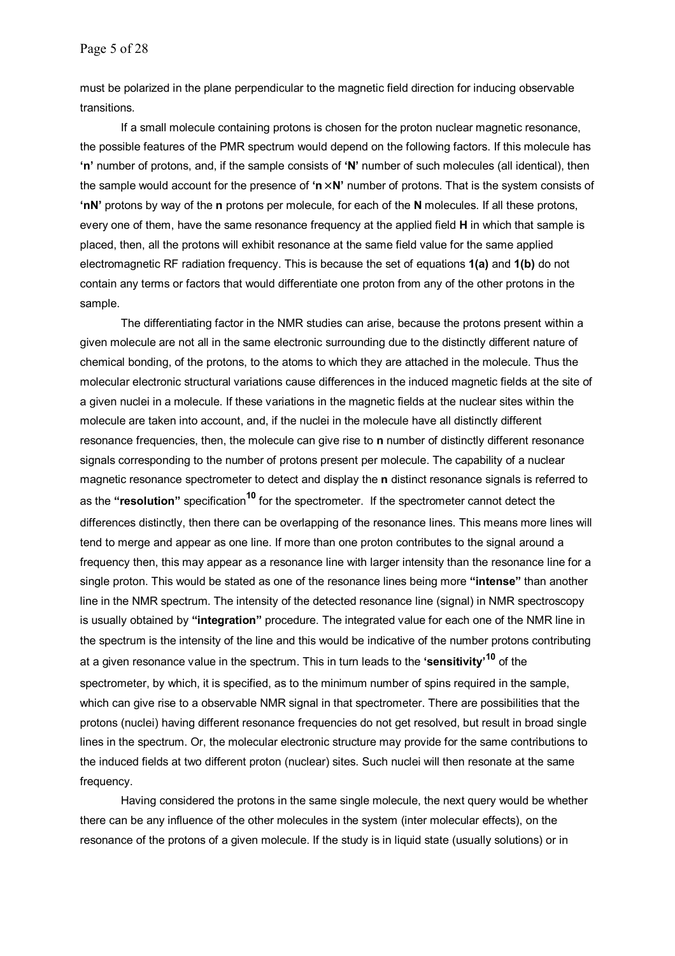must be polarized in the plane perpendicular to the magnetic field direction for inducing observable transitions.

If a small molecule containing protons is chosen for the proton nuclear magnetic resonance, the possible features of the PMR spectrum would depend on the following factors. If this molecule has **'n'** number of protons, and, if the sample consists of **'N'** number of such molecules (all identical), then the sample would account for the presence of **'n**× **N'** number of protons. That is the system consists of **'nN'** protons by way of the **n** protons per molecule, for each of the **N** molecules. If all these protons, every one of them, have the same resonance frequency at the applied field **H** in which that sample is placed, then, all the protons will exhibit resonance at the same field value for the same applied electromagnetic RF radiation frequency. This is because the set of equations **1(a)** and **1(b)** do not contain any terms or factors that would differentiate one proton from any of the other protons in the sample.

The differentiating factor in the NMR studies can arise, because the protons present within a given molecule are not all in the same electronic surrounding due to the distinctly different nature of chemical bonding, of the protons, to the atoms to which they are attached in the molecule. Thus the molecular electronic structural variations cause differences in the induced magnetic fields at the site of a given nuclei in a molecule. If these variations in the magnetic fields at the nuclear sites within the molecule are taken into account, and, if the nuclei in the molecule have all distinctly different resonance frequencies, then, the molecule can give rise to **n** number of distinctly different resonance signals corresponding to the number of protons present per molecule. The capability of a nuclear magnetic resonance spectrometer to detect and display the **n** distinct resonance signals is referred to as the **"resolution"** specification**10** for the spectrometer. If the spectrometer cannot detect the differences distinctly, then there can be overlapping of the resonance lines. This means more lines will tend to merge and appear as one line. If more than one proton contributes to the signal around a frequency then, this may appear as a resonance line with larger intensity than the resonance line for a single proton. This would be stated as one of the resonance lines being more **"intense"** than another line in the NMR spectrum. The intensity of the detected resonance line (signal) in NMR spectroscopy is usually obtained by **"integration"** procedure. The integrated value for each one of the NMR line in the spectrum is the intensity of the line and this would be indicative of the number protons contributing at a given resonance value in the spectrum. This in turn leads to the **'sensitivity'<sup>10</sup>** of the spectrometer, by which, it is specified, as to the minimum number of spins required in the sample, which can give rise to a observable NMR signal in that spectrometer. There are possibilities that the protons (nuclei) having different resonance frequencies do not get resolved, but result in broad single lines in the spectrum. Or, the molecular electronic structure may provide for the same contributions to the induced fields at two different proton (nuclear) sites. Such nuclei will then resonate at the same frequency.

Having considered the protons in the same single molecule, the next query would be whether there can be any influence of the other molecules in the system (inter molecular effects), on the resonance of the protons of a given molecule. If the study is in liquid state (usually solutions) or in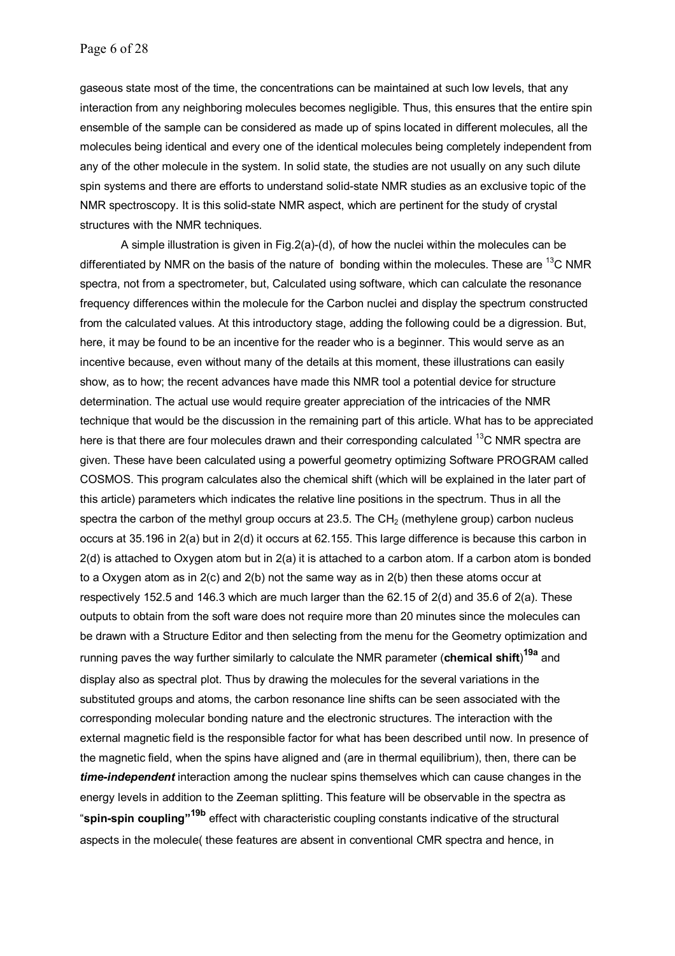gaseous state most of the time, the concentrations can be maintained at such low levels, that any interaction from any neighboring molecules becomes negligible. Thus, this ensures that the entire spin ensemble of the sample can be considered as made up of spins located in different molecules, all the molecules being identical and every one of the identical molecules being completely independent from any of the other molecule in the system. In solid state, the studies are not usually on any such dilute spin systems and there are efforts to understand solid-state NMR studies as an exclusive topic of the NMR spectroscopy. It is this solid-state NMR aspect, which are pertinent for the study of crystal structures with the NMR techniques.

A simple illustration is given in Fig.2(a)-(d), of how the nuclei within the molecules can be differentiated by NMR on the basis of the nature of bonding within the molecules. These are  $^{13}$ C NMR spectra, not from a spectrometer, but, Calculated using software, which can calculate the resonance frequency differences within the molecule for the Carbon nuclei and display the spectrum constructed from the calculated values. At this introductory stage, adding the following could be a digression. But, here, it may be found to be an incentive for the reader who is a beginner. This would serve as an incentive because, even without many of the details at this moment, these illustrations can easily show, as to how; the recent advances have made this NMR tool a potential device for structure determination. The actual use would require greater appreciation of the intricacies of the NMR technique that would be the discussion in the remaining part of this article. What has to be appreciated here is that there are four molecules drawn and their corresponding calculated <sup>13</sup>C NMR spectra are given. These have been calculated using a powerful geometry optimizing Software PROGRAM called COSMOS. This program calculates also the chemical shift (which will be explained in the later part of this article) parameters which indicates the relative line positions in the spectrum. Thus in all the spectra the carbon of the methyl group occurs at 23.5. The CH<sub>2</sub> (methylene group) carbon nucleus occurs at 35.196 in 2(a) but in 2(d) it occurs at 62.155. This large difference is because this carbon in 2(d) is attached to Oxygen atom but in 2(a) it is attached to a carbon atom. If a carbon atom is bonded to a Oxygen atom as in 2(c) and 2(b) not the same way as in 2(b) then these atoms occur at respectively 152.5 and 146.3 which are much larger than the 62.15 of 2(d) and 35.6 of 2(a). These outputs to obtain from the soft ware does not require more than 20 minutes since the molecules can be drawn with a Structure Editor and then selecting from the menu for the Geometry optimization and running paves the way further similarly to calculate the NMR parameter (**chemical shift**) **19a** and display also as spectral plot. Thus by drawing the molecules for the several variations in the substituted groups and atoms, the carbon resonance line shifts can be seen associated with the corresponding molecular bonding nature and the electronic structures. The interaction with the external magnetic field is the responsible factor for what has been described until now. In presence of the magnetic field, when the spins have aligned and (are in thermal equilibrium), then, there can be *time-independent* interaction among the nuclear spins themselves which can cause changes in the energy levels in addition to the Zeeman splitting. This feature will be observable in the spectra as "**spin-spin coupling"19b** effect with characteristic coupling constants indicative of the structural aspects in the molecule( these features are absent in conventional CMR spectra and hence, in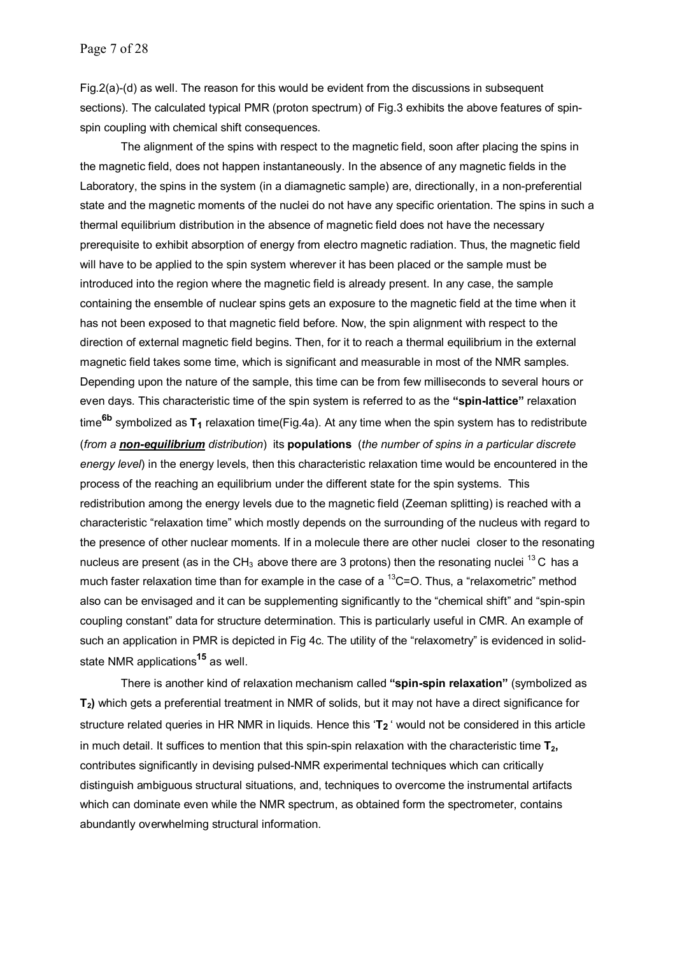Fig.2(a)-(d) as well. The reason for this would be evident from the discussions in subsequent sections). The calculated typical PMR (proton spectrum) of Fig.3 exhibits the above features of spinspin coupling with chemical shift consequences.

The alignment of the spins with respect to the magnetic field, soon after placing the spins in the magnetic field, does not happen instantaneously. In the absence of any magnetic fields in the Laboratory, the spins in the system (in a diamagnetic sample) are, directionally, in a non-preferential state and the magnetic moments of the nuclei do not have any specific orientation. The spins in such a thermal equilibrium distribution in the absence of magnetic field does not have the necessary prerequisite to exhibit absorption of energy from electro magnetic radiation. Thus, the magnetic field will have to be applied to the spin system wherever it has been placed or the sample must be introduced into the region where the magnetic field is already present. In any case, the sample containing the ensemble of nuclear spins gets an exposure to the magnetic field at the time when it has not been exposed to that magnetic field before. Now, the spin alignment with respect to the direction of external magnetic field begins. Then, for it to reach a thermal equilibrium in the external magnetic field takes some time, which is significant and measurable in most of the NMR samples. Depending upon the nature of the sample, this time can be from few milliseconds to several hours or even days. This characteristic time of the spin system is referred to as the **"spin-lattice"** relaxation time<sup>6b</sup> symbolized as T<sub>1</sub> relaxation time(Fig.4a). At any time when the spin system has to redistribute (*from a non-equilibrium distribution*) its **populations** (*the number of spins in a particular discrete energy level*) in the energy levels, then this characteristic relaxation time would be encountered in the process of the reaching an equilibrium under the different state for the spin systems. This redistribution among the energy levels due to the magnetic field (Zeeman splitting) is reached with a characteristic "relaxation time" which mostly depends on the surrounding of the nucleus with regard to the presence of other nuclear moments. If in a molecule there are other nuclei closer to the resonating nucleus are present (as in the CH<sub>3</sub> above there are 3 protons) then the resonating nuclei <sup>13</sup> C has a much faster relaxation time than for example in the case of a  $^{13}$ C=O. Thus, a "relaxometric" method also can be envisaged and it can be supplementing significantly to the "chemical shift" and "spin-spin coupling constant" data for structure determination. This is particularly useful in CMR. An example of such an application in PMR is depicted in Fig 4c. The utility of the "relaxometry" is evidenced in solidstate NMR applications**15** as well.

There is another kind of relaxation mechanism called **"spin-spin relaxation"** (symbolized as **T2)** which gets a preferential treatment in NMR of solids, but it may not have a direct significance for structure related queries in HR NMR in liquids. Hence this '**T2** ' would not be considered in this article in much detail. It suffices to mention that this spin-spin relaxation with the characteristic time  $T_2$ , contributes significantly in devising pulsed-NMR experimental techniques which can critically distinguish ambiguous structural situations, and, techniques to overcome the instrumental artifacts which can dominate even while the NMR spectrum, as obtained form the spectrometer, contains abundantly overwhelming structural information.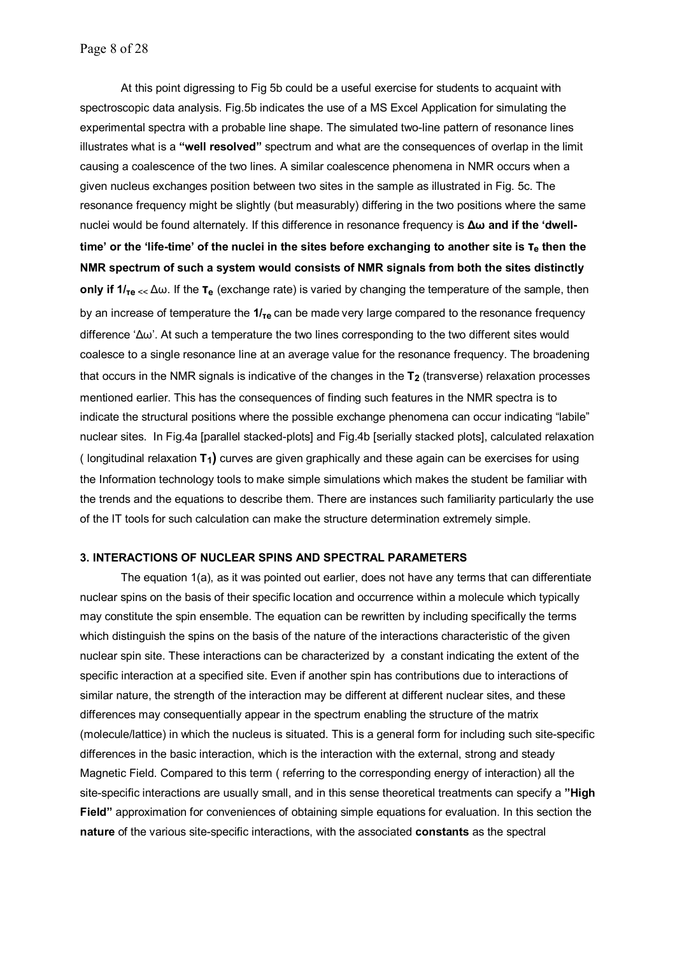At this point digressing to Fig 5b could be a useful exercise for students to acquaint with spectroscopic data analysis. Fig.5b indicates the use of a MS Excel Application for simulating the experimental spectra with a probable line shape. The simulated two-line pattern of resonance lines illustrates what is a **"well resolved"** spectrum and what are the consequences of overlap in the limit causing a coalescence of the two lines. A similar coalescence phenomena in NMR occurs when a given nucleus exchanges position between two sites in the sample as illustrated in Fig. 5c. The resonance frequency might be slightly (but measurably) differing in the two positions where the same nuclei would be found alternately. If this difference in resonance frequency is **∆ω and if the 'dwelltime' or the 'life-time' of the nuclei in the sites before exchanging to another site is τe then the NMR spectrum of such a system would consists of NMR signals from both the sites distinctly only if 1/<sub>τe ≤ </sub>∆ω. If the <b>τ**<sub>e</sub> (exchange rate) is varied by changing the temperature of the sample, then by an increase of temperature the **1/τe** can be made very large compared to the resonance frequency difference '∆ω'. At such a temperature the two lines corresponding to the two different sites would coalesce to a single resonance line at an average value for the resonance frequency. The broadening that occurs in the NMR signals is indicative of the changes in the **T<sub>2</sub>** (transverse) relaxation processes mentioned earlier. This has the consequences of finding such features in the NMR spectra is to indicate the structural positions where the possible exchange phenomena can occur indicating "labile" nuclear sites. In Fig.4a [parallel stacked-plots] and Fig.4b [serially stacked plots], calculated relaxation ( longitudinal relaxation **T1)** curves are given graphically and these again can be exercises for using the Information technology tools to make simple simulations which makes the student be familiar with the trends and the equations to describe them. There are instances such familiarity particularly the use of the IT tools for such calculation can make the structure determination extremely simple.

#### **3. INTERACTIONS OF NUCLEAR SPINS AND SPECTRAL PARAMETERS**

The equation 1(a), as it was pointed out earlier, does not have any terms that can differentiate nuclear spins on the basis of their specific location and occurrence within a molecule which typically may constitute the spin ensemble. The equation can be rewritten by including specifically the terms which distinguish the spins on the basis of the nature of the interactions characteristic of the given nuclear spin site. These interactions can be characterized by a constant indicating the extent of the specific interaction at a specified site. Even if another spin has contributions due to interactions of similar nature, the strength of the interaction may be different at different nuclear sites, and these differences may consequentially appear in the spectrum enabling the structure of the matrix (molecule/lattice) in which the nucleus is situated. This is a general form for including such site-specific differences in the basic interaction, which is the interaction with the external, strong and steady Magnetic Field. Compared to this term ( referring to the corresponding energy of interaction) all the site-specific interactions are usually small, and in this sense theoretical treatments can specify a **"High Field"** approximation for conveniences of obtaining simple equations for evaluation. In this section the **nature** of the various site-specific interactions, with the associated **constants** as the spectral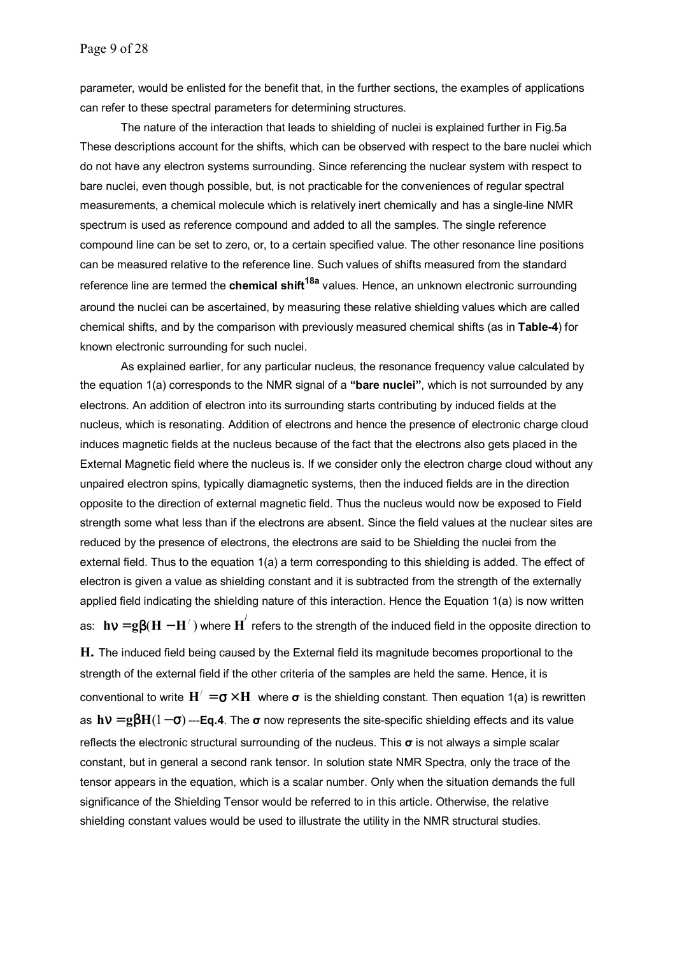parameter, would be enlisted for the benefit that, in the further sections, the examples of applications can refer to these spectral parameters for determining structures.

The nature of the interaction that leads to shielding of nuclei is explained further in Fig.5a These descriptions account for the shifts, which can be observed with respect to the bare nuclei which do not have any electron systems surrounding. Since referencing the nuclear system with respect to bare nuclei, even though possible, but, is not practicable for the conveniences of regular spectral measurements, a chemical molecule which is relatively inert chemically and has a single-line NMR spectrum is used as reference compound and added to all the samples. The single reference compound line can be set to zero, or, to a certain specified value. The other resonance line positions can be measured relative to the reference line. Such values of shifts measured from the standard reference line are termed the **chemical shift18a** values. Hence, an unknown electronic surrounding around the nuclei can be ascertained, by measuring these relative shielding values which are called chemical shifts, and by the comparison with previously measured chemical shifts (as in **Table-4**) for known electronic surrounding for such nuclei.

As explained earlier, for any particular nucleus, the resonance frequency value calculated by the equation 1(a) corresponds to the NMR signal of a **"bare nuclei"**, which is not surrounded by any electrons. An addition of electron into its surrounding starts contributing by induced fields at the nucleus, which is resonating. Addition of electrons and hence the presence of electronic charge cloud induces magnetic fields at the nucleus because of the fact that the electrons also gets placed in the External Magnetic field where the nucleus is. If we consider only the electron charge cloud without any unpaired electron spins, typically diamagnetic systems, then the induced fields are in the direction opposite to the direction of external magnetic field. Thus the nucleus would now be exposed to Field strength some what less than if the electrons are absent. Since the field values at the nuclear sites are reduced by the presence of electrons, the electrons are said to be Shielding the nuclei from the external field. Thus to the equation 1(a) a term corresponding to this shielding is added. The effect of electron is given a value as shielding constant and it is subtracted from the strength of the externally applied field indicating the shielding nature of this interaction. Hence the Equation 1(a) is now written as:  ${\bf h}{\bf v}={\bf g}{\bf \beta}({\bf H}-{\bf H}^{\prime})$  where  ${\bf H}^{'}$  refers to the strength of the induced field in the opposite direction to

**H.** The induced field being caused by the External field its magnitude becomes proportional to the strength of the external field if the other criteria of the samples are held the same. Hence, it is conventional to write  $H' = \sigma \times H$  where  $\sigma$  is the shielding constant. Then equation 1(a) is rewritten as **h**ν = **g**β**H**(1− σ) ---**Eq.4**. The **σ** now represents the site-specific shielding effects and its value reflects the electronic structural surrounding of the nucleus. This **σ** is not always a simple scalar constant, but in general a second rank tensor. In solution state NMR Spectra, only the trace of the tensor appears in the equation, which is a scalar number. Only when the situation demands the full significance of the Shielding Tensor would be referred to in this article. Otherwise, the relative shielding constant values would be used to illustrate the utility in the NMR structural studies.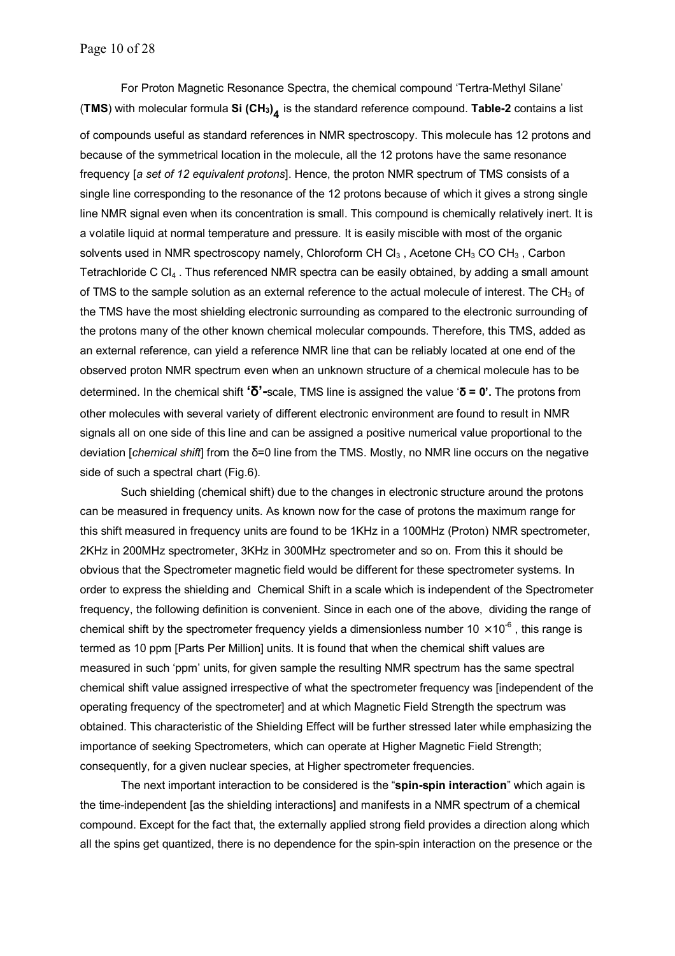For Proton Magnetic Resonance Spectra, the chemical compound 'Tertra-Methyl Silane' (**TMS**) with molecular formula **Si (CH3) <sup>4</sup>** is the standard reference compound. **Table-2** contains a list

of compounds useful as standard references in NMR spectroscopy. This molecule has 12 protons and because of the symmetrical location in the molecule, all the 12 protons have the same resonance frequency [*a set of 12 equivalent protons*]. Hence, the proton NMR spectrum of TMS consists of a single line corresponding to the resonance of the 12 protons because of which it gives a strong single line NMR signal even when its concentration is small. This compound is chemically relatively inert. It is a volatile liquid at normal temperature and pressure. It is easily miscible with most of the organic solvents used in NMR spectroscopy namely, Chloroform CH  $Cl_3$ , Acetone CH<sub>3</sub> CO CH<sub>3</sub>, Carbon Tetrachloride C  $Cl<sub>4</sub>$ . Thus referenced NMR spectra can be easily obtained, by adding a small amount of TMS to the sample solution as an external reference to the actual molecule of interest. The  $CH<sub>3</sub>$  of the TMS have the most shielding electronic surrounding as compared to the electronic surrounding of the protons many of the other known chemical molecular compounds. Therefore, this TMS, added as an external reference, can yield a reference NMR line that can be reliably located at one end of the observed proton NMR spectrum even when an unknown structure of a chemical molecule has to be determined. In the chemical shift **'δ'-**scale, TMS line is assigned the value '**δ = 0'.** The protons from other molecules with several variety of different electronic environment are found to result in NMR signals all on one side of this line and can be assigned a positive numerical value proportional to the deviation [*chemical shift*] from the δ=0 line from the TMS. Mostly, no NMR line occurs on the negative side of such a spectral chart (Fig.6).

Such shielding (chemical shift) due to the changes in electronic structure around the protons can be measured in frequency units. As known now for the case of protons the maximum range for this shift measured in frequency units are found to be 1KHz in a 100MHz (Proton) NMR spectrometer, 2KHz in 200MHz spectrometer, 3KHz in 300MHz spectrometer and so on. From this it should be obvious that the Spectrometer magnetic field would be different for these spectrometer systems. In order to express the shielding and Chemical Shift in a scale which is independent of the Spectrometer frequency, the following definition is convenient. Since in each one of the above, dividing the range of chemical shift by the spectrometer frequency yields a dimensionless number  $10 \times 10^{-6}$  , this range is termed as 10 ppm [Parts Per Million] units. It is found that when the chemical shift values are measured in such 'ppm' units, for given sample the resulting NMR spectrum has the same spectral chemical shift value assigned irrespective of what the spectrometer frequency was [independent of the operating frequency of the spectrometer] and at which Magnetic Field Strength the spectrum was obtained. This characteristic of the Shielding Effect will be further stressed later while emphasizing the importance of seeking Spectrometers, which can operate at Higher Magnetic Field Strength; consequently, for a given nuclear species, at Higher spectrometer frequencies.

The next important interaction to be considered is the "**spin-spin interaction**" which again is the time-independent [as the shielding interactions] and manifests in a NMR spectrum of a chemical compound. Except for the fact that, the externally applied strong field provides a direction along which all the spins get quantized, there is no dependence for the spin-spin interaction on the presence or the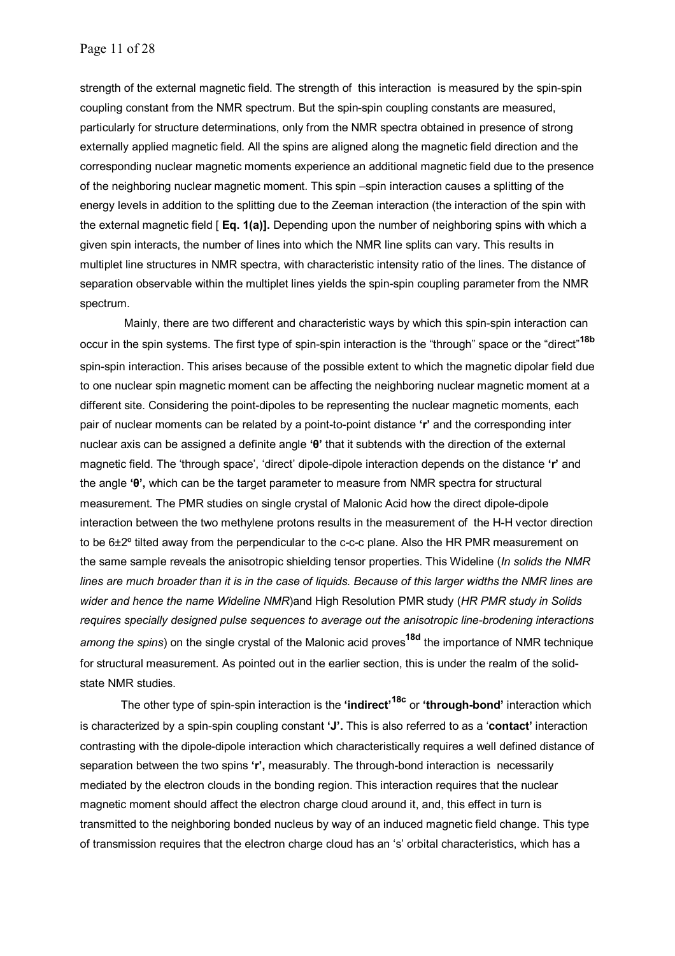strength of the external magnetic field. The strength of this interaction is measured by the spin-spin coupling constant from the NMR spectrum. But the spin-spin coupling constants are measured, particularly for structure determinations, only from the NMR spectra obtained in presence of strong externally applied magnetic field. All the spins are aligned along the magnetic field direction and the corresponding nuclear magnetic moments experience an additional magnetic field due to the presence of the neighboring nuclear magnetic moment. This spin –spin interaction causes a splitting of the energy levels in addition to the splitting due to the Zeeman interaction (the interaction of the spin with the external magnetic field [ **Eq. 1(a)].** Depending upon the number of neighboring spins with which a given spin interacts, the number of lines into which the NMR line splits can vary. This results in multiplet line structures in NMR spectra, with characteristic intensity ratio of the lines. The distance of separation observable within the multiplet lines yields the spin-spin coupling parameter from the NMR spectrum.

 Mainly, there are two different and characteristic ways by which this spin-spin interaction can occur in the spin systems. The first type of spin-spin interaction is the "through" space or the "direct"**18b** spin-spin interaction. This arises because of the possible extent to which the magnetic dipolar field due to one nuclear spin magnetic moment can be affecting the neighboring nuclear magnetic moment at a different site. Considering the point-dipoles to be representing the nuclear magnetic moments, each pair of nuclear moments can be related by a point-to-point distance **'r'** and the corresponding inter nuclear axis can be assigned a definite angle **'θ'** that it subtends with the direction of the external magnetic field. The 'through space', 'direct' dipole-dipole interaction depends on the distance **'r'** and the angle **'θ',** which can be the target parameter to measure from NMR spectra for structural measurement. The PMR studies on single crystal of Malonic Acid how the direct dipole-dipole interaction between the two methylene protons results in the measurement of the H-H vector direction to be 6±2<sup>o</sup> tilted away from the perpendicular to the c-c-c plane. Also the HR PMR measurement on the same sample reveals the anisotropic shielding tensor properties. This Wideline (*In solids the NMR lines are much broader than it is in the case of liquids. Because of this larger widths the NMR lines are wider and hence the name Wideline NMR*)and High Resolution PMR study (*HR PMR study in Solids requires specially designed pulse sequences to average out the anisotropic line-brodening interactions among the spins*) on the single crystal of the Malonic acid proves**18d** the importance of NMR technique for structural measurement. As pointed out in the earlier section, this is under the realm of the solidstate NMR studies.

The other type of spin-spin interaction is the **'indirect'18c** or **'through-bond'** interaction which is characterized by a spin-spin coupling constant **'J'.** This is also referred to as a '**contact'** interaction contrasting with the dipole-dipole interaction which characteristically requires a well defined distance of separation between the two spins **'r',** measurably. The through-bond interaction is necessarily mediated by the electron clouds in the bonding region. This interaction requires that the nuclear magnetic moment should affect the electron charge cloud around it, and, this effect in turn is transmitted to the neighboring bonded nucleus by way of an induced magnetic field change. This type of transmission requires that the electron charge cloud has an 's' orbital characteristics, which has a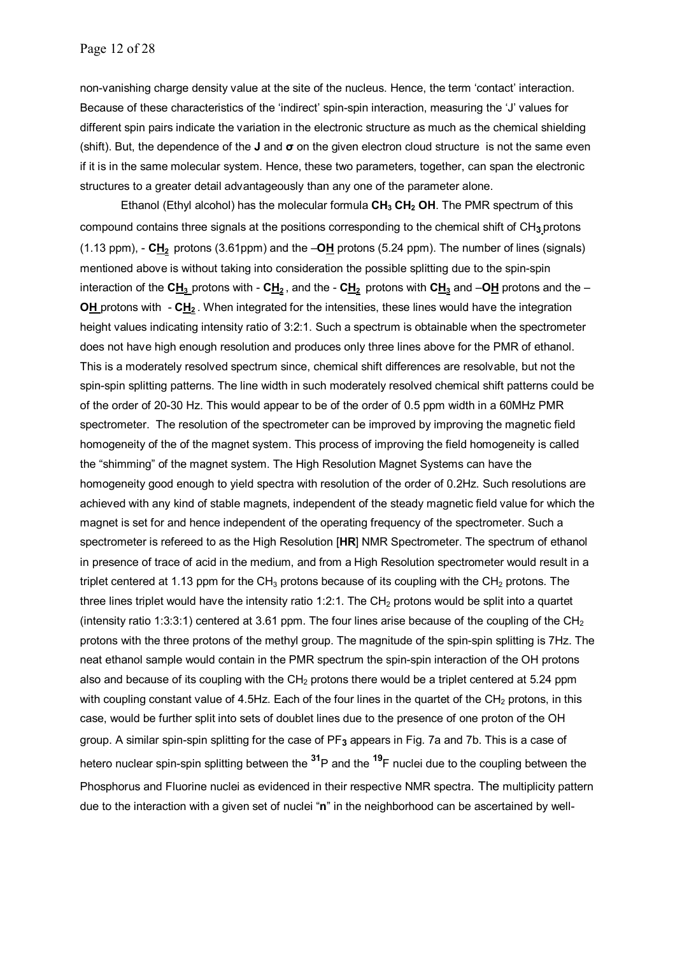non-vanishing charge density value at the site of the nucleus. Hence, the term 'contact' interaction. Because of these characteristics of the 'indirect' spin-spin interaction, measuring the 'J' values for different spin pairs indicate the variation in the electronic structure as much as the chemical shielding (shift). But, the dependence of the **J** and **σ** on the given electron cloud structureis not the same even if it is in the same molecular system. Hence, these two parameters, together, can span the electronic structures to a greater detail advantageously than any one of the parameter alone.

Ethanol (Ethyl alcohol) has the molecular formula CH<sub>3</sub> CH<sub>2</sub> OH. The PMR spectrum of this compound contains three signals at the positions corresponding to the chemical shift of CH**3** protons (1.13 ppm), - **CH2** protons (3.61ppm) and the –**OH** protons (5.24 ppm). The number of lines (signals) mentioned above is without taking into consideration the possible splitting due to the spin-spin interaction of the  $\mathbf{C}_{\mathbf{H}_3}$  protons with -  $\mathbf{C}_{\mathbf{H}_2}$ , and the -  $\mathbf{C}_{\mathbf{H}_2}$  protons with  $\mathbf{C}_{\mathbf{H}_3}$  and  $-\mathbf{O}_{\mathbf{H}}$  protons and the -**OH** protons with - CH<sub>2</sub>. When integrated for the intensities, these lines would have the integration height values indicating intensity ratio of 3:2:1. Such a spectrum is obtainable when the spectrometer does not have high enough resolution and produces only three lines above for the PMR of ethanol. This is a moderately resolved spectrum since, chemical shift differences are resolvable, but not the spin-spin splitting patterns. The line width in such moderately resolved chemical shift patterns could be of the order of 20-30 Hz. This would appear to be of the order of 0.5 ppm width in a 60MHz PMR spectrometer. The resolution of the spectrometer can be improved by improving the magnetic field homogeneity of the of the magnet system. This process of improving the field homogeneity is called the "shimming" of the magnet system. The High Resolution Magnet Systems can have the homogeneity good enough to yield spectra with resolution of the order of 0.2Hz. Such resolutions are achieved with any kind of stable magnets, independent of the steady magnetic field value for which the magnet is set for and hence independent of the operating frequency of the spectrometer. Such a spectrometer is refereed to as the High Resolution [**HR**] NMR Spectrometer. The spectrum of ethanol in presence of trace of acid in the medium, and from a High Resolution spectrometer would result in a triplet centered at 1.13 ppm for the  $CH_3$  protons because of its coupling with the  $CH_2$  protons. The three lines triplet would have the intensity ratio 1:2:1. The  $CH<sub>2</sub>$  protons would be split into a quartet (intensity ratio 1:3:3:1) centered at 3.61 ppm. The four lines arise because of the coupling of the CH<sub>2</sub> protons with the three protons of the methyl group. The magnitude of the spin-spin splitting is 7Hz. The neat ethanol sample would contain in the PMR spectrum the spin-spin interaction of the OH protons also and because of its coupling with the  $CH<sub>2</sub>$  protons there would be a triplet centered at 5.24 ppm with coupling constant value of 4.5Hz. Each of the four lines in the quartet of the  $CH<sub>2</sub>$  protons, in this case, would be further split into sets of doublet lines due to the presence of one proton of the OH group. A similar spin-spin splitting for the case of PF**3** appears in Fig. 7a and 7b. This is a case of hetero nuclear spin-spin splitting between the **31**P and the **19**F nuclei due to the coupling between the Phosphorus and Fluorine nuclei as evidenced in their respective NMR spectra. The multiplicity pattern due to the interaction with a given set of nuclei "**n**" in the neighborhood can be ascertained by well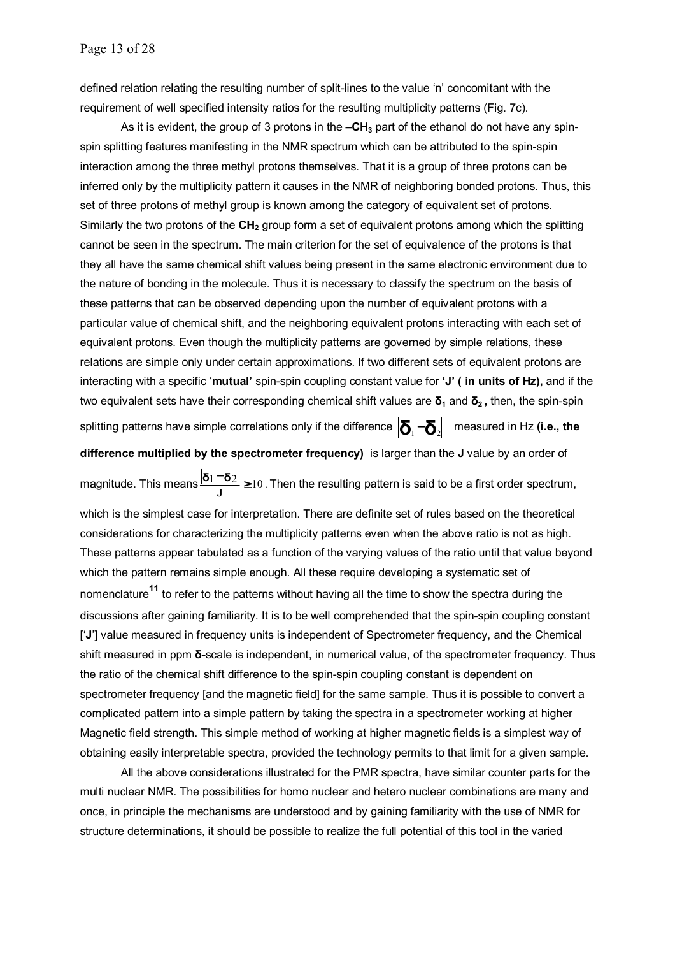defined relation relating the resulting number of split-lines to the value 'n' concomitant with the requirement of well specified intensity ratios for the resulting multiplicity patterns (Fig. 7c).

As it is evident, the group of 3 protons in the  $-CH<sub>3</sub>$  part of the ethanol do not have any spinspin splitting features manifesting in the NMR spectrum which can be attributed to the spin-spin interaction among the three methyl protons themselves. That it is a group of three protons can be inferred only by the multiplicity pattern it causes in the NMR of neighboring bonded protons. Thus, this set of three protons of methyl group is known among the category of equivalent set of protons. Similarly the two protons of the **CH**<sub>2</sub> group form a set of equivalent protons among which the splitting cannot be seen in the spectrum. The main criterion for the set of equivalence of the protons is that they all have the same chemical shift values being present in the same electronic environment due to the nature of bonding in the molecule. Thus it is necessary to classify the spectrum on the basis of these patterns that can be observed depending upon the number of equivalent protons with a particular value of chemical shift, and the neighboring equivalent protons interacting with each set of equivalent protons. Even though the multiplicity patterns are governed by simple relations, these relations are simple only under certain approximations. If two different sets of equivalent protons are interacting with a specific '**mutual'** spin-spin coupling constant value for **'J' ( in units of Hz),** and if the two equivalent sets have their corresponding chemical shift values are **δ<sup>1</sup>** and **δ2 ,** then, the spin-spin splitting patterns have simple correlations only if the difference  $\left| \delta_1 - \delta_2 \right|$  measured in Hz (i.e., the

**difference multiplied by the spectrometer frequency)** is larger than the **J** value by an order of

magnitude. This means  $\frac{|\mathbf{\delta}_1 - \mathbf{\delta}_2|}{J}$  ≥ 10 . Then the resulting pattern is said to be a first order spectrum, which is the simplest case for interpretation. There are definite set of rules based on the theoretical considerations for characterizing the multiplicity patterns even when the above ratio is not as high. These patterns appear tabulated as a function of the varying values of the ratio until that value beyond which the pattern remains simple enough. All these require developing a systematic set of nomenclature**11** to refer to the patterns without having all the time to show the spectra during the discussions after gaining familiarity. It is to be well comprehended that the spin-spin coupling constant ['**J**'] value measured in frequency units is independent of Spectrometer frequency, and the Chemical shift measured in ppm **δ-**scale is independent, in numerical value, of the spectrometer frequency. Thus the ratio of the chemical shift difference to the spin-spin coupling constant is dependent on spectrometer frequency [and the magnetic field] for the same sample. Thus it is possible to convert a complicated pattern into a simple pattern by taking the spectra in a spectrometer working at higher Magnetic field strength. This simple method of working at higher magnetic fields is a simplest way of obtaining easily interpretable spectra, provided the technology permits to that limit for a given sample.

All the above considerations illustrated for the PMR spectra, have similar counter parts for the multi nuclear NMR. The possibilities for homo nuclear and hetero nuclear combinations are many and once, in principle the mechanisms are understood and by gaining familiarity with the use of NMR for structure determinations, it should be possible to realize the full potential of this tool in the varied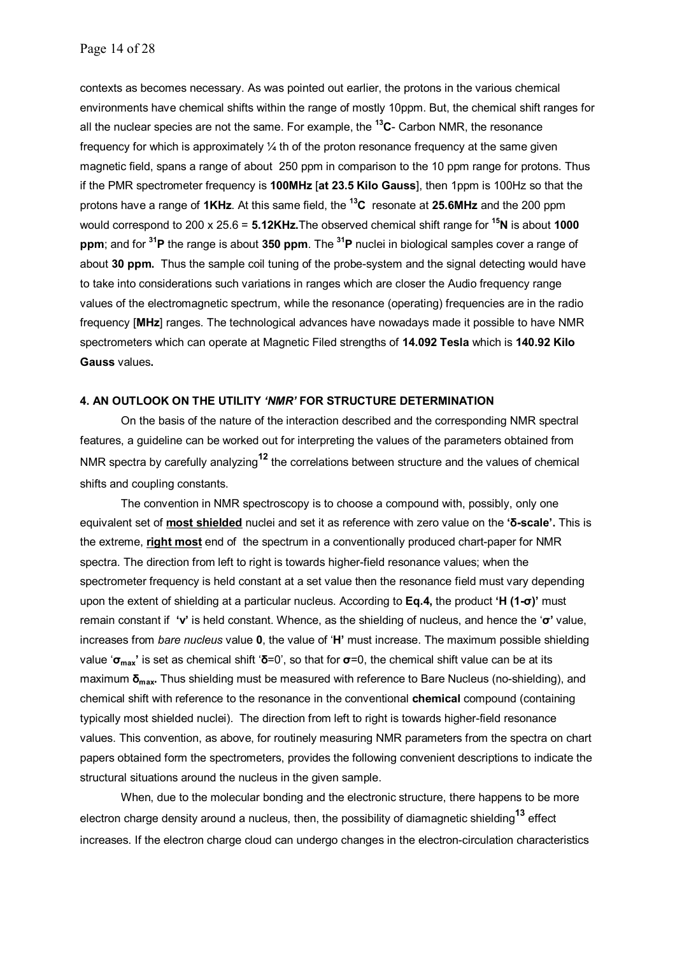contexts as becomes necessary. As was pointed out earlier, the protons in the various chemical environments have chemical shifts within the range of mostly 10ppm. But, the chemical shift ranges for all the nuclear species are not the same. For example, the **13C**- Carbon NMR, the resonance frequency for which is approximately  $\frac{1}{4}$  th of the proton resonance frequency at the same given magnetic field, spans a range of about 250 ppm in comparison to the 10 ppm range for protons. Thus if the PMR spectrometer frequency is **100MHz** [**at 23.5 Kilo Gauss**], then 1ppm is 100Hz so that the protons have a range of **1KHz**. At this same field, the **13C** resonate at **25.6MHz** and the 200 ppm would correspond to 200 x 25.6 = **5.12KHz.**The observed chemical shift range for **15N** is about **1000 ppm**; and for **31P** the range is about **350 ppm**. The **31P** nuclei in biological samples cover a range of about **30 ppm.** Thus the sample coil tuning of the probe-system and the signal detecting would have to take into considerations such variations in ranges which are closer the Audio frequency range values of the electromagnetic spectrum, while the resonance (operating) frequencies are in the radio frequency [**MHz**] ranges. The technological advances have nowadays made it possible to have NMR spectrometers which can operate at Magnetic Filed strengths of **14.092 Tesla** which is **140.92 Kilo Gauss** values**.** 

#### **4. AN OUTLOOK ON THE UTILITY** *'NMR'* **FOR STRUCTURE DETERMINATION**

On the basis of the nature of the interaction described and the corresponding NMR spectral features, a guideline can be worked out for interpreting the values of the parameters obtained from NMR spectra by carefully analyzing**12** the correlations between structure and the values of chemical shifts and coupling constants.

The convention in NMR spectroscopy is to choose a compound with, possibly, only one equivalent set of **most shielded** nuclei and set it as reference with zero value on the **'δ-scale'.** This is the extreme, **right most** end of the spectrum in a conventionally produced chart-paper for NMR spectra. The direction from left to right is towards higher-field resonance values; when the spectrometer frequency is held constant at a set value then the resonance field must vary depending upon the extent of shielding at a particular nucleus. According to **Eq.4,** the product **'H (1-σ)'** must remain constant if **'ν'** is held constant. Whence, as the shielding of nucleus, and hence the '**σ'** value, increases from *bare nucleus* value **0**, the value of '**H'** must increase. The maximum possible shielding value '**σmax'** is set as chemical shift '**δ**=0', so that for **σ**=0, the chemical shift value can be at its maximum **δmax.** Thus shielding must be measured with reference to Bare Nucleus (no-shielding), and chemical shift with reference to the resonance in the conventional **chemical** compound (containing typically most shielded nuclei). The direction from left to right is towards higher-field resonance values. This convention, as above, for routinely measuring NMR parameters from the spectra on chart papers obtained form the spectrometers, provides the following convenient descriptions to indicate the structural situations around the nucleus in the given sample.

When, due to the molecular bonding and the electronic structure, there happens to be more electron charge density around a nucleus, then, the possibility of diamagnetic shielding**13** effect increases. If the electron charge cloud can undergo changes in the electron-circulation characteristics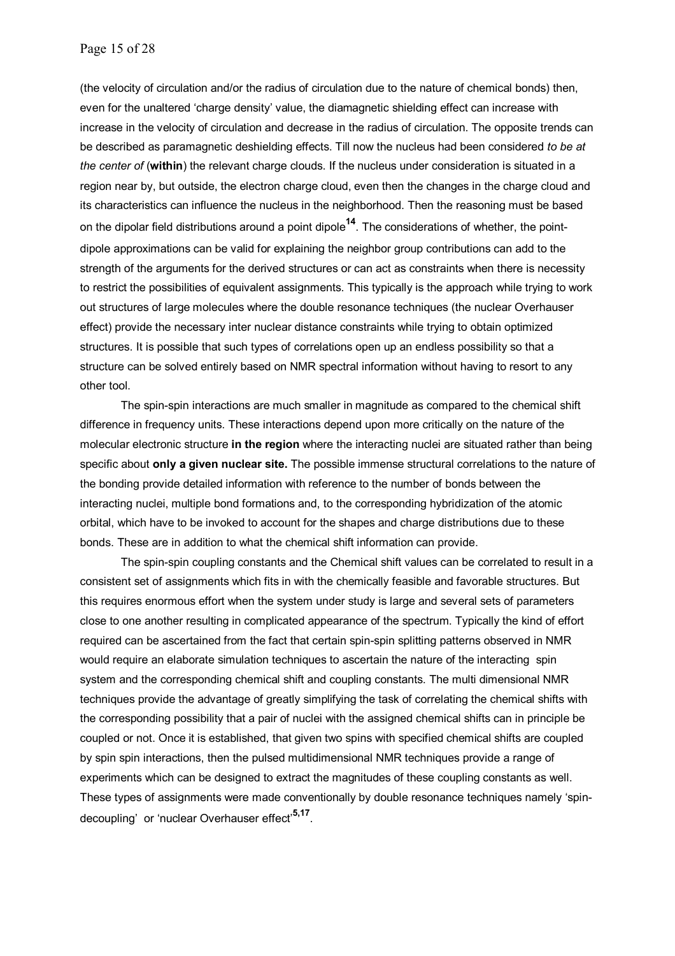(the velocity of circulation and/or the radius of circulation due to the nature of chemical bonds) then, even for the unaltered 'charge density' value, the diamagnetic shielding effect can increase with increase in the velocity of circulation and decrease in the radius of circulation. The opposite trends can be described as paramagnetic deshielding effects. Till now the nucleus had been considered *to be at the center of* (**within**) the relevant charge clouds. If the nucleus under consideration is situated in a region near by, but outside, the electron charge cloud, even then the changes in the charge cloud and its characteristics can influence the nucleus in the neighborhood. Then the reasoning must be based on the dipolar field distributions around a point dipole**14**. The considerations of whether, the pointdipole approximations can be valid for explaining the neighbor group contributions can add to the strength of the arguments for the derived structures or can act as constraints when there is necessity to restrict the possibilities of equivalent assignments. This typically is the approach while trying to work out structures of large molecules where the double resonance techniques (the nuclear Overhauser effect) provide the necessary inter nuclear distance constraints while trying to obtain optimized structures. It is possible that such types of correlations open up an endless possibility so that a structure can be solved entirely based on NMR spectral information without having to resort to any other tool.

The spin-spin interactions are much smaller in magnitude as compared to the chemical shift difference in frequency units. These interactions depend upon more critically on the nature of the molecular electronic structure **in the region** where the interacting nuclei are situated rather than being specific about **only a given nuclear site.** The possible immense structural correlations to the nature of the bonding provide detailed information with reference to the number of bonds between the interacting nuclei, multiple bond formations and, to the corresponding hybridization of the atomic orbital, which have to be invoked to account for the shapes and charge distributions due to these bonds. These are in addition to what the chemical shift information can provide.

The spin-spin coupling constants and the Chemical shift values can be correlated to result in a consistent set of assignments which fits in with the chemically feasible and favorable structures. But this requires enormous effort when the system under study is large and several sets of parameters close to one another resulting in complicated appearance of the spectrum. Typically the kind of effort required can be ascertained from the fact that certain spin-spin splitting patterns observed in NMR would require an elaborate simulation techniques to ascertain the nature of the interacting spin system and the corresponding chemical shift and coupling constants. The multi dimensional NMR techniques provide the advantage of greatly simplifying the task of correlating the chemical shifts with the corresponding possibility that a pair of nuclei with the assigned chemical shifts can in principle be coupled or not. Once it is established, that given two spins with specified chemical shifts are coupled by spin spin interactions, then the pulsed multidimensional NMR techniques provide a range of experiments which can be designed to extract the magnitudes of these coupling constants as well. These types of assignments were made conventionally by double resonance techniques namely 'spindecoupling' or 'nuclear Overhauser effect'**5,17**.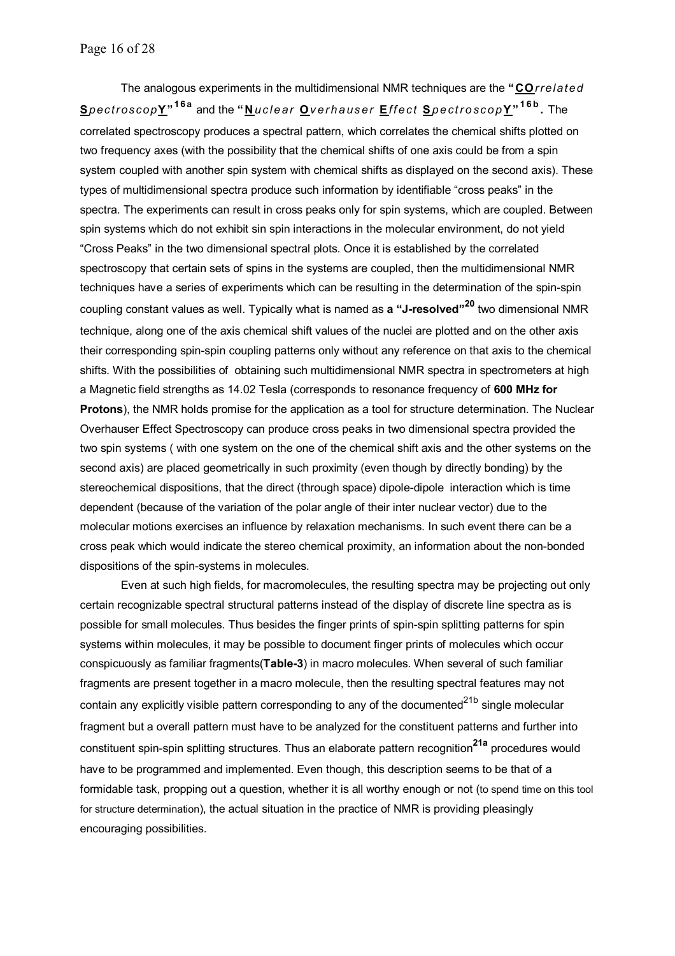The analogous experiments in the multidimensional NMR techniques are the **"CO***rrelated* **S***pectroscop***Y" 16a** and the **" N***uclear* **O***verhauser* **E***ffect* **S***pectroscop***Y" 16b .** The correlated spectroscopy produces a spectral pattern, which correlates the chemical shifts plotted on two frequency axes (with the possibility that the chemical shifts of one axis could be from a spin system coupled with another spin system with chemical shifts as displayed on the second axis). These types of multidimensional spectra produce such information by identifiable "cross peaks" in the spectra. The experiments can result in cross peaks only for spin systems, which are coupled. Between spin systems which do not exhibit sin spin interactions in the molecular environment, do not yield "Cross Peaks" in the two dimensional spectral plots. Once it is established by the correlated spectroscopy that certain sets of spins in the systems are coupled, then the multidimensional NMR techniques have a series of experiments which can be resulting in the determination of the spin-spin coupling constant values as well. Typically what is named as **a "J-resolved"<sup>20</sup>** two dimensional NMR technique, along one of the axis chemical shift values of the nuclei are plotted and on the other axis their corresponding spin-spin coupling patterns only without any reference on that axis to the chemical shifts. With the possibilities of obtaining such multidimensional NMR spectra in spectrometers at high a Magnetic field strengths as 14.02 Tesla (corresponds to resonance frequency of **600 MHz for Protons**), the NMR holds promise for the application as a tool for structure determination. The Nuclear Overhauser Effect Spectroscopy can produce cross peaks in two dimensional spectra provided the two spin systems ( with one system on the one of the chemical shift axis and the other systems on the second axis) are placed geometrically in such proximity (even though by directly bonding) by the stereochemical dispositions, that the direct (through space) dipole-dipole interaction which is time dependent (because of the variation of the polar angle of their inter nuclear vector) due to the molecular motions exercises an influence by relaxation mechanisms. In such event there can be a cross peak which would indicate the stereo chemical proximity, an information about the non-bonded dispositions of the spin-systems in molecules.

Even at such high fields, for macromolecules, the resulting spectra may be projecting out only certain recognizable spectral structural patterns instead of the display of discrete line spectra as is possible for small molecules. Thus besides the finger prints of spin-spin splitting patterns for spin systems within molecules, it may be possible to document finger prints of molecules which occur conspicuously as familiar fragments(**Table-3**) in macro molecules. When several of such familiar fragments are present together in a macro molecule, then the resulting spectral features may not contain any explicitly visible pattern corresponding to any of the documented<sup>21b</sup> single molecular fragment but a overall pattern must have to be analyzed for the constituent patterns and further into constituent spin-spin splitting structures. Thus an elaborate pattern recognition**21a** procedures would have to be programmed and implemented. Even though, this description seems to be that of a formidable task, propping out a question, whether it is all worthy enough or not (to spend time on this tool for structure determination), the actual situation in the practice of NMR is providing pleasingly encouraging possibilities.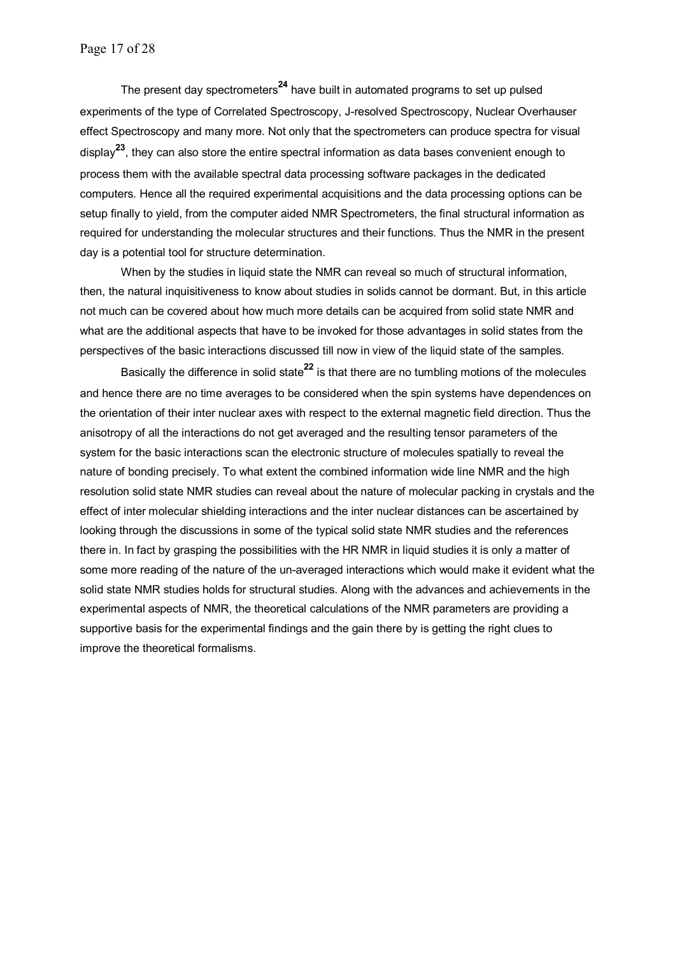The present day spectrometers**24** have built in automated programs to set up pulsed experiments of the type of Correlated Spectroscopy, J-resolved Spectroscopy, Nuclear Overhauser effect Spectroscopy and many more. Not only that the spectrometers can produce spectra for visual display**23**, they can also store the entire spectral information as data bases convenient enough to process them with the available spectral data processing software packages in the dedicated computers. Hence all the required experimental acquisitions and the data processing options can be setup finally to yield, from the computer aided NMR Spectrometers, the final structural information as required for understanding the molecular structures and their functions. Thus the NMR in the present day is a potential tool for structure determination.

When by the studies in liquid state the NMR can reveal so much of structural information, then, the natural inquisitiveness to know about studies in solids cannot be dormant. But, in this article not much can be covered about how much more details can be acquired from solid state NMR and what are the additional aspects that have to be invoked for those advantages in solid states from the perspectives of the basic interactions discussed till now in view of the liquid state of the samples.

Basically the difference in solid state**22** is that there are no tumbling motions of the molecules and hence there are no time averages to be considered when the spin systems have dependences on the orientation of their inter nuclear axes with respect to the external magnetic field direction. Thus the anisotropy of all the interactions do not get averaged and the resulting tensor parameters of the system for the basic interactions scan the electronic structure of molecules spatially to reveal the nature of bonding precisely. To what extent the combined information wide line NMR and the high resolution solid state NMR studies can reveal about the nature of molecular packing in crystals and the effect of inter molecular shielding interactions and the inter nuclear distances can be ascertained by looking through the discussions in some of the typical solid state NMR studies and the references there in. In fact by grasping the possibilities with the HR NMR in liquid studies it is only a matter of some more reading of the nature of the un-averaged interactions which would make it evident what the solid state NMR studies holds for structural studies. Along with the advances and achievements in the experimental aspects of NMR, the theoretical calculations of the NMR parameters are providing a supportive basis for the experimental findings and the gain there by is getting the right clues to improve the theoretical formalisms.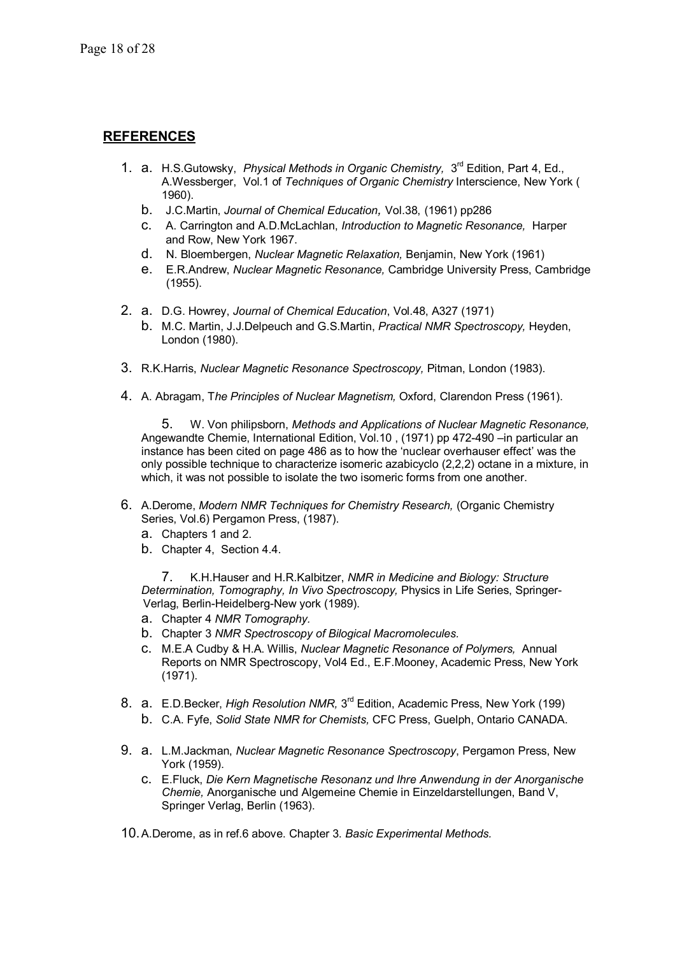## **REFERENCES**

- 1. a. H.S.Gutowsky, *Physical Methods in Organic Chemistry,* 3rd Edition, Part 4, Ed., A.Wessberger, Vol.1 of *Techniques of Organic Chemistry* Interscience, New York ( 1960).
	- b. J.C.Martin, *Journal of Chemical Education,* Vol.38, (1961) pp286
	- c. A. Carrington and A.D.McLachlan, *Introduction to Magnetic Resonance,* Harper and Row, New York 1967.
	- d. N. Bloembergen, *Nuclear Magnetic Relaxation,* Benjamin, New York (1961)
	- e. E.R.Andrew, *Nuclear Magnetic Resonance,* Cambridge University Press, Cambridge (1955).
- 2. a. D.G. Howrey, *Journal of Chemical Education*, Vol.48, A327 (1971)
	- b. M.C. Martin, J.J.Delpeuch and G.S.Martin, *Practical NMR Spectroscopy,* Heyden, London (1980).
- 3. R.K.Harris, *Nuclear Magnetic Resonance Spectroscopy,* Pitman, London (1983).
- 4. A. Abragam, T*he Principles of Nuclear Magnetism,* Oxford, Clarendon Press (1961).

5. W. Von philipsborn, *Methods and Applications of Nuclear Magnetic Resonance,* Angewandte Chemie, International Edition, Vol.10 , (1971) pp 472-490 –in particular an instance has been cited on page 486 as to how the 'nuclear overhauser effect' was the only possible technique to characterize isomeric azabicyclo (2,2,2) octane in a mixture, in which, it was not possible to isolate the two isomeric forms from one another.

- 6. A.Derome, *Modern NMR Techniques for Chemistry Research,* (Organic Chemistry Series, Vol.6) Pergamon Press, (1987).
	- a. Chapters 1 and 2.
	- b. Chapter 4, Section 4.4.

7. K.H.Hauser and H.R.Kalbitzer, *NMR in Medicine and Biology: Structure Determination, Tomography, In Vivo Spectroscopy,* Physics in Life Series, Springer- Verlag, Berlin-Heidelberg-New york (1989).

- a. Chapter 4 *NMR Tomography.*
- b. Chapter 3 *NMR Spectroscopy of Bilogical Macromolecules.*
- c. M.E.A Cudby & H.A. Willis, *Nuclear Magnetic Resonance of Polymers,* Annual Reports on NMR Spectroscopy, Vol4 Ed., E.F.Mooney, Academic Press, New York (1971).
- 8. a. E.D.Becker, *High Resolution NMR,* 3rd Edition, Academic Press, New York (199)
	- b. C.A. Fyfe, *Solid State NMR for Chemists,* CFC Press, Guelph, Ontario CANADA.
- 9. a. L.M.Jackman, *Nuclear Magnetic Resonance Spectroscopy*, Pergamon Press, New York (1959).
	- c. E.Fluck, *Die Kern Magnetische Resonanz und Ihre Anwendung in der Anorganische Chemie,* Anorganische und Algemeine Chemie in Einzeldarstellungen, Band V, Springer Verlag, Berlin (1963).

10. A.Derome, as in ref.6 above. Chapter 3. *Basic Experimental Methods.*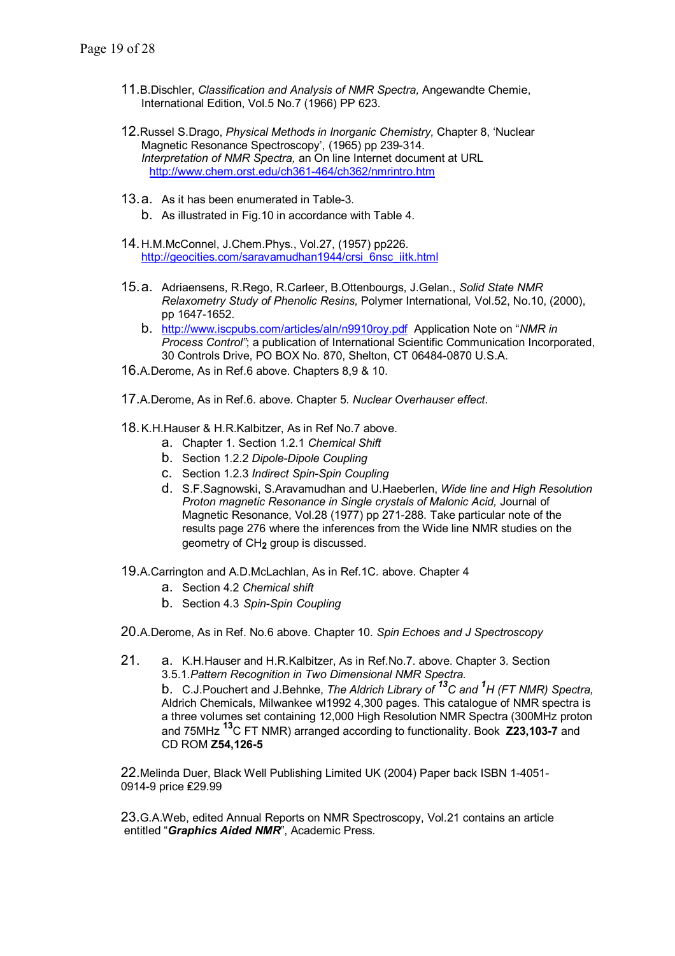- 11.B.Dischler, *Classification and Analysis of NMR Spectra,* Angewandte Chemie, International Edition, Vol.5 No.7 (1966) PP 623.
- 12.Russel S.Drago, *Physical Methods in Inorganic Chemistry,* Chapter 8, 'Nuclear Magnetic Resonance Spectroscopy', (1965) pp 239-314. *Interpretation of NMR Spectra,* an On line Internet document at URL http://www.chem.orst.edu/ch361-464/ch362/nmrintro.htm
- 13.a. As it has been enumerated in Table-3.
	- b. As illustrated in Fig.10 in accordance with Table 4.
- 14. H.M.McConnel, J.Chem.Phys., Vol.27, (1957) pp226. http://geocities.com/saravamudhan1944/crsi\_6nsc\_iitk.html
- 15. a. Adriaensens, R.Rego, R.Carleer, B.Ottenbourgs, J.Gelan., *Solid State NMR Relaxometry Study of Phenolic Resins,* Polymer International*,* Vol.52, No.10, (2000), pp 1647-1652.
	- b. http://www.iscpubs.com/articles/aln/n9910roy.pdf Application Note on "*NMR in Process Control"*; a publication of International Scientific Communication Incorporated, 30 Controls Drive, PO BOX No. 870, Shelton, CT 06484-0870 U.S.A.
- 16.A.Derome, As in Ref.6 above. Chapters 8,9 & 10.
- 17.A.Derome, As in Ref.6. above. Chapter 5. *Nuclear Overhauser effect*.
- 18. K.H.Hauser & H.R.Kalbitzer, As in Ref No.7 above.
	- a. Chapter 1. Section 1.2.1 *Chemical Shift*
	- b. Section 1.2.2 *Dipole-Dipole Coupling*
	- c. Section 1.2.3 *Indirect Spin-Spin Coupling*
	- d. S.F.Sagnowski, S.Aravamudhan and U.Haeberlen, *Wide line and High Resolution Proton magnetic Resonance in Single crystals of Malonic Acid,* Journal of Magnetic Resonance, Vol.28 (1977) pp 271-288. Take particular note of the results page 276 where the inferences from the Wide line NMR studies on the geometry of CH**2** group is discussed.
- 19.A.Carrington and A.D.McLachlan, As in Ref.1C. above. Chapter 4
	- a. Section 4.2 *Chemical shift*
	- b. Section 4.3 *Spin-Spin Coupling*
- 20.A.Derome, As in Ref. No.6 above. Chapter 10. *Spin Echoes and J Spectroscopy*
- 21. a. K.H.Hauser and H.R.Kalbitzer, As in Ref.No.7. above. Chapter 3. Section 3.5.1.*Pattern Recognition in Two Dimensional NMR Spectra.* b. C.J.Pouchert and J.Behnke, *The Aldrich Library of 13C and <sup>1</sup> H (FT NMR) Spectra,* Aldrich Chemicals, Milwankee wl1992 4,300 pages. This catalogue of NMR spectra is a three volumes set containing 12,000 High Resolution NMR Spectra (300MHz proton and 75MHz **13**C FT NMR) arranged according to functionality. Book **Z23,103-7** and CD ROM **Z54,126-5**

22.Melinda Duer, Black Well Publishing Limited UK (2004) Paper back ISBN 1-4051- 0914-9 price ₤29.99

23.G.A.Web, edited Annual Reports on NMR Spectroscopy, Vol.21 contains an article entitled "*Graphics Aided NMR*", Academic Press.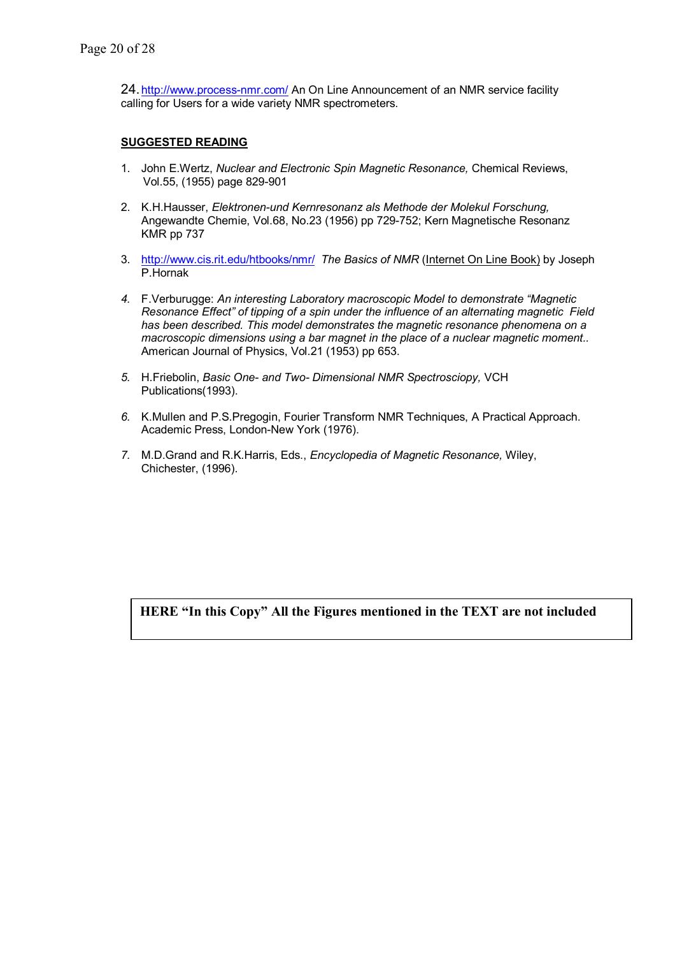24. http://www.process-nmr.com/ An On Line Announcement of an NMR service facility calling for Users for a wide variety NMR spectrometers.

## **SUGGESTED READING**

- 1. John E.Wertz, *Nuclear and Electronic Spin Magnetic Resonance,* Chemical Reviews, Vol.55, (1955) page 829-901
- 2. K.H.Hausser, *Elektronen-und Kernresonanz als Methode der Molekul Forschung,* Angewandte Chemie, Vol.68, No.23 (1956) pp 729-752; Kern Magnetische Resonanz KMR pp 737
- 3. http://www.cis.rit.edu/htbooks/nmr/ *The Basics of NMR* (Internet On Line Book) by Joseph P.Hornak
- *4.* F.Verburugge: *An interesting Laboratory macroscopic Model to demonstrate "Magnetic Resonance Effect" of tipping of a spin under the influence of an alternating magnetic Field has been described. This model demonstrates the magnetic resonance phenomena on a macroscopic dimensions using a bar magnet in the place of a nuclear magnetic moment..* American Journal of Physics, Vol.21 (1953) pp 653.
- *5.* H.Friebolin, *Basic One- and Two- Dimensional NMR Spectrosciopy,* VCH Publications(1993).
- *6.* K.Mullen and P.S.Pregogin, Fourier Transform NMR Techniques, A Practical Approach. Academic Press, London-New York (1976).
- *7.* M.D.Grand and R.K.Harris, Eds., *Encyclopedia of Magnetic Resonance,* Wiley, Chichester, (1996).

**HERE "In this Copy" All the Figures mentioned in the TEXT are not included**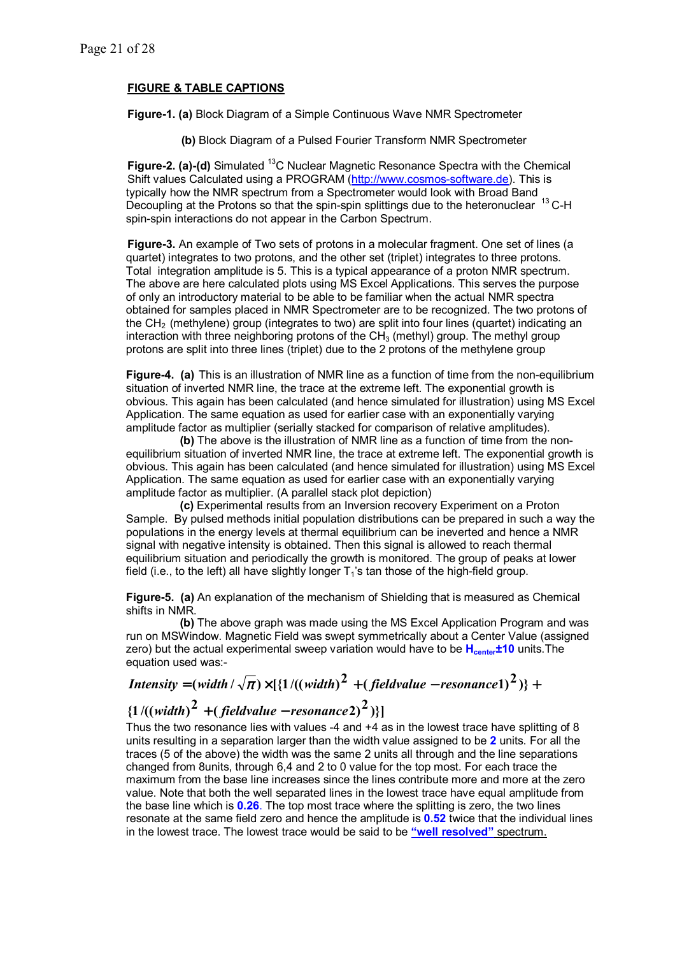## **FIGURE & TABLE CAPTIONS**

**Figure-1. (a)** Block Diagram of a Simple Continuous Wave NMR Spectrometer

 **(b)** Block Diagram of a Pulsed Fourier Transform NMR Spectrometer

**Figure-2. (a)-(d)** Simulated <sup>13</sup>C Nuclear Magnetic Resonance Spectra with the Chemical Shift values Calculated using a PROGRAM (http://www.cosmos-software.de). This is typically how the NMR spectrum from a Spectrometer would look with Broad Band Decoupling at the Protons so that the spin-spin splittings due to the heteronuclear <sup>13</sup> C-H spin-spin interactions do not appear in the Carbon Spectrum.

**Figure-3.** An example of Two sets of protons in a molecular fragment. One set of lines (a quartet) integrates to two protons, and the other set (triplet) integrates to three protons. Total integration amplitude is 5. This is a typical appearance of a proton NMR spectrum. The above are here calculated plots using MS Excel Applications. This serves the purpose of only an introductory material to be able to be familiar when the actual NMR spectra obtained for samples placed in NMR Spectrometer are to be recognized. The two protons of the  $CH<sub>2</sub>$  (methylene) group (integrates to two) are split into four lines (quartet) indicating an interaction with three neighboring protons of the  $CH<sub>3</sub>$  (methyl) group. The methyl group protons are split into three lines (triplet) due to the 2 protons of the methylene group

**Figure-4. (a)** This is an illustration of NMR line as a function of time from the non-equilibrium situation of inverted NMR line, the trace at the extreme left. The exponential growth is obvious. This again has been calculated (and hence simulated for illustration) using MS Excel Application. The same equation as used for earlier case with an exponentially varying amplitude factor as multiplier (serially stacked for comparison of relative amplitudes).

 **(b)** The above is the illustration of NMR line as a function of time from the nonequilibrium situation of inverted NMR line, the trace at extreme left. The exponential growth is obvious. This again has been calculated (and hence simulated for illustration) using MS Excel Application. The same equation as used for earlier case with an exponentially varying amplitude factor as multiplier. (A parallel stack plot depiction)

 **(c)** Experimental results from an Inversion recovery Experiment on a Proton Sample. By pulsed methods initial population distributions can be prepared in such a way the populations in the energy levels at thermal equilibrium can be ineverted and hence a NMR signal with negative intensity is obtained. Then this signal is allowed to reach thermal equilibrium situation and periodically the growth is monitored. The group of peaks at lower field (i.e., to the left) all have slightly longer  $T_1$ 's tan those of the high-field group.

**Figure-5. (a)** An explanation of the mechanism of Shielding that is measured as Chemical shifts in NMR.

 **(b)** The above graph was made using the MS Excel Application Program and was run on MSWindow. Magnetic Field was swept symmetrically about a Center Value (assigned zero) but the actual experimental sweep variation would have to be H<sub>center</sub>±10 units. The equation used was:-

# $\hat{L}$  **(** *Intensity* **= (width /**  $\sqrt{\pi}$ **)** $\times$  **[{1 /((width)<sup>2</sup> + (fieldvalue – resonance1)<sup>2</sup>)} +**

## $\{1/((width)^2 + (field value - resonance^2)^2)\}\$

Thus the two resonance lies with values -4 and +4 as in the lowest trace have splitting of 8 units resulting in a separation larger than the width value assigned to be **2** units. For all the traces (5 of the above) the width was the same 2 units all through and the line separations changed from 8units, through 6,4 and 2 to 0 value for the top most. For each trace the maximum from the base line increases since the lines contribute more and more at the zero value. Note that both the well separated lines in the lowest trace have equal amplitude from the base line which is **0.26**. The top most trace where the splitting is zero, the two lines resonate at the same field zero and hence the amplitude is **0.52** twice that the individual lines in the lowest trace. The lowest trace would be said to be **"well resolved"** spectrum.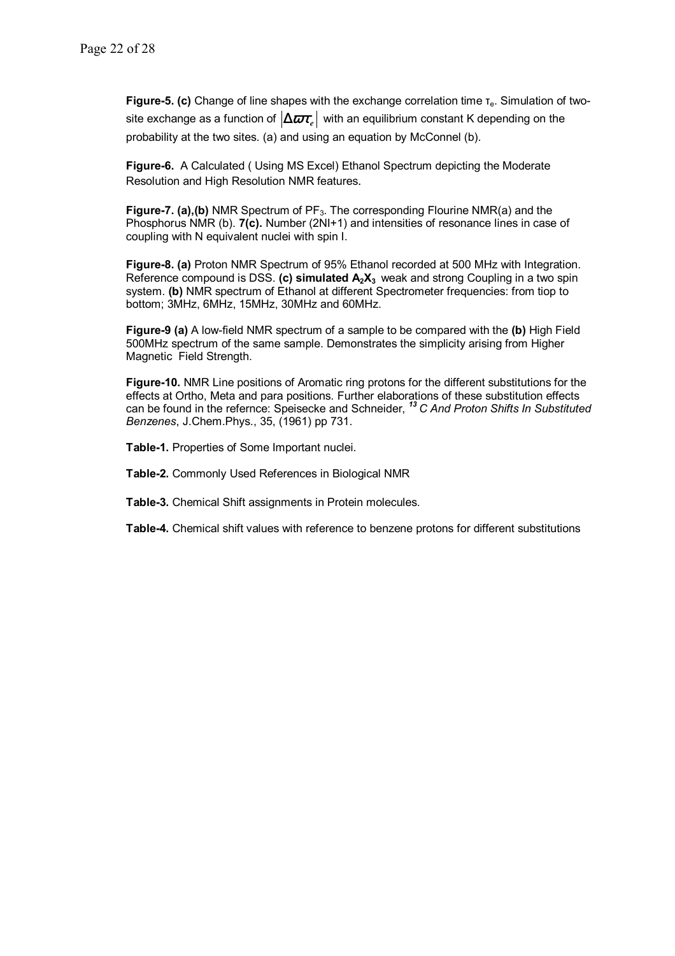**Figure-5. (c)** Change of line shapes with the exchange correlation time τ<sub>e</sub>. Simulation of twosite exchange as a function of  $|\Delta \varpi_{\zeta}|$  with an equilibrium constant K depending on the probability at the two sites. (a) and using an equation by McConnel (b).

**Figure-6.** A Calculated ( Using MS Excel) Ethanol Spectrum depicting the Moderate Resolution and High Resolution NMR features.

**Figure-7. (a), (b)** NMR Spectrum of PF<sub>3</sub>. The corresponding Flourine NMR(a) and the Phosphorus NMR (b). **7(c).** Number (2NI+1) and intensities of resonance lines in case of coupling with N equivalent nuclei with spin I.

**Figure-8. (a)** Proton NMR Spectrum of 95% Ethanol recorded at 500 MHz with Integration. Reference compound is DSS. (c) simulated  $A_2X_3$  weak and strong Coupling in a two spin system. **(b)** NMR spectrum of Ethanol at different Spectrometer frequencies: from tiop to bottom; 3MHz, 6MHz, 15MHz, 30MHz and 60MHz.

**Figure-9 (a)** A low-field NMR spectrum of a sample to be compared with the **(b)** High Field 500MHz spectrum of the same sample. Demonstrates the simplicity arising from Higher Magnetic Field Strength.

**Figure-10.** NMR Line positions of Aromatic ring protons for the different substitutions for the effects at Ortho, Meta and para positions. Further elaborations of these substitution effects can be found in the refernce: Speisecke and Schneider, *<sup>13</sup>C And Proton Shifts In Substituted Benzenes*, J.Chem.Phys., 35, (1961) pp 731.

**Table-1.** Properties of Some Important nuclei.

**Table-2.** Commonly Used References in Biological NMR

**Table-3.** Chemical Shift assignments in Protein molecules.

**Table-4.** Chemical shift values with reference to benzene protons for different substitutions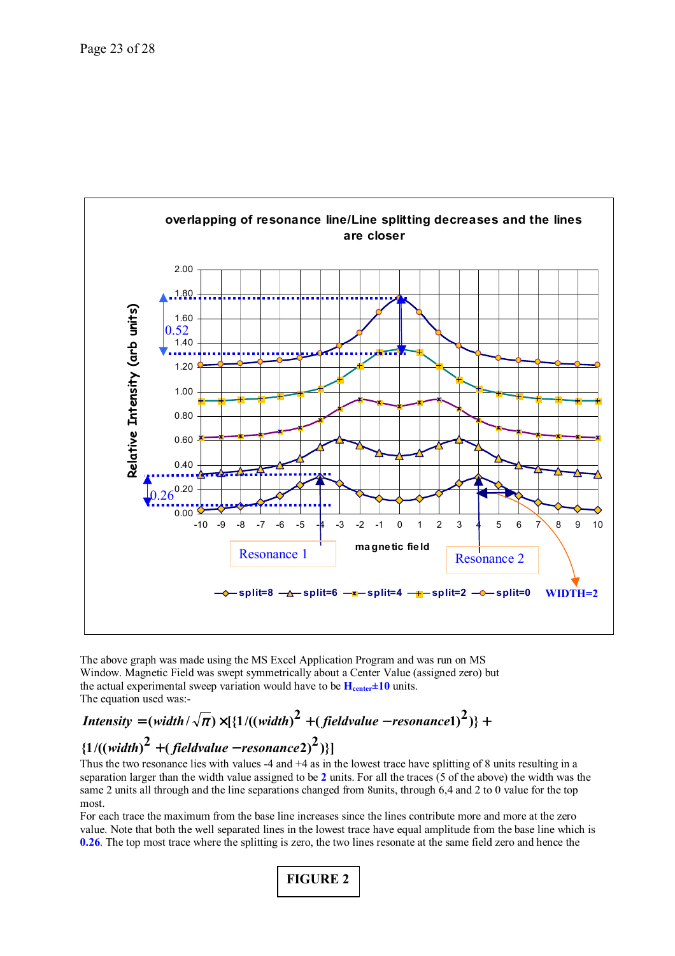

 The above graph was made using the MS Excel Application Program and was run on MS Window. Magnetic Field was swept symmetrically about a Center Value (assigned zero) but the actual experimental sweep variation would have to be  $H_{center} \pm 10$  units. The equation used was:-

# ${1}/((width)<sup>2</sup> + (field value - resonance<sup>2</sup>)<sup>2</sup>)\}$  $\hat{L}$  **(** *Intensity* **= (width /**  $\sqrt{\pi}$  **)**  $\times$  **[{1 /((width)<sup>2</sup> + (fieldvalue – resonance1)<sup>2</sup>)} +**

Thus the two resonance lies with values -4 and +4 as in the lowest trace have splitting of 8 units resulting in a separation larger than the width value assigned to be **2** units. For all the traces (5 of the above) the width was the same 2 units all through and the line separations changed from 8units, through 6,4 and 2 to 0 value for the top most.

For each trace the maximum from the base line increases since the lines contribute more and more at the zero value. Note that both the well separated lines in the lowest trace have equal amplitude from the base line which is **0.26**. The top most trace where the splitting is zero, the two lines resonate at the same field zero and hence the

**FIGURE 2**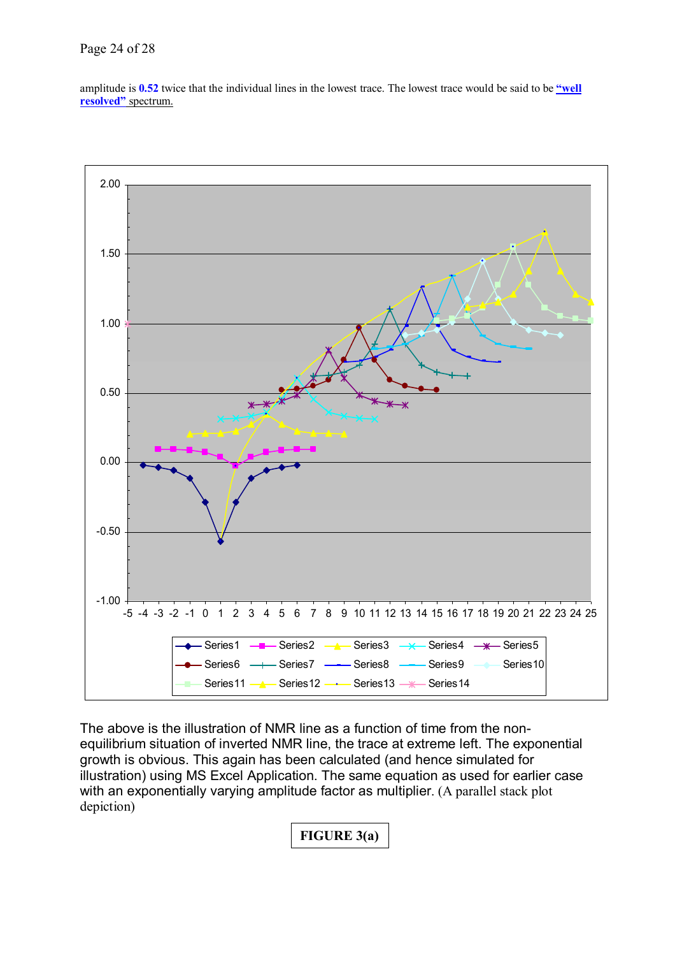## Page 24 of 28

amplitude is 0.52 twice that the individual lines in the lowest trace. The lowest trace would be said to be *well* **resolved"** spectrum.



The above is the illustration of NMR line as a function of time from the nonequilibrium situation of inverted NMR line, the trace at extreme left. The exponential growth is obvious. This again has been calculated (and hence simulated for illustration) using MS Excel Application. The same equation as used for earlier case with an exponentially varying amplitude factor as multiplier. (A parallel stack plot depiction)

**FIGURE 3(a)**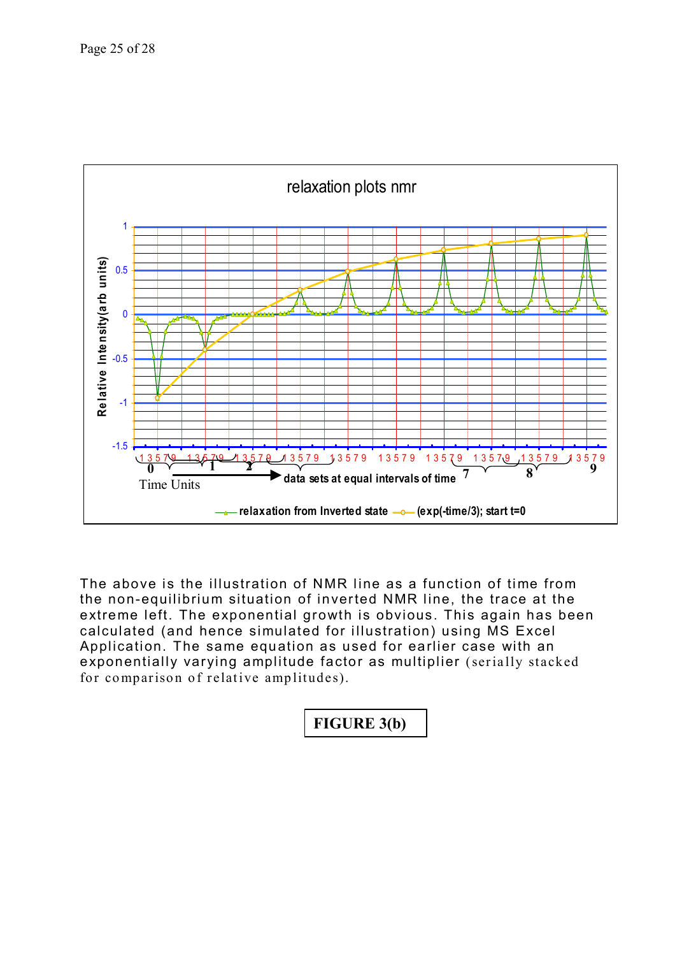

The above is the illustration of NMR line as a function of time from the non-equilibrium situation of inverted NMR line, the trace at the extreme left. The exponential growth is obvious. This again has been calculated (and hence simulated for illustration) using MS Excel Application. The same equation as used for earlier case with an exponentially varying amplitude factor as multiplier (serially stacked for comparison of relative amplitudes).

| FIGURE 3(b) |
|-------------|
|-------------|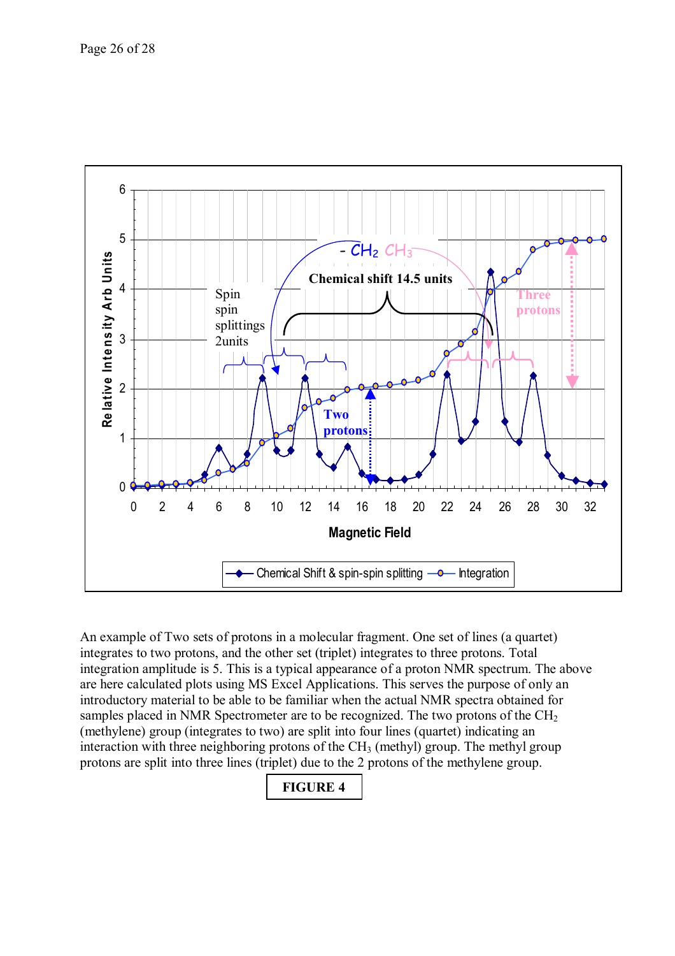

An example of Two sets of protons in a molecular fragment. One set of lines (a quartet) integrates to two protons, and the other set (triplet) integrates to three protons. Total integration amplitude is 5. This is a typical appearance of a proton NMR spectrum. The above are here calculated plots using MS Excel Applications. This serves the purpose of only an introductory material to be able to be familiar when the actual NMR spectra obtained for samples placed in NMR Spectrometer are to be recognized. The two protons of the  $CH<sub>2</sub>$ (methylene) group (integrates to two) are split into four lines (quartet) indicating an interaction with three neighboring protons of the  $CH<sub>3</sub>$  (methyl) group. The methyl group protons are split into three lines (triplet) due to the 2 protons of the methylene group.

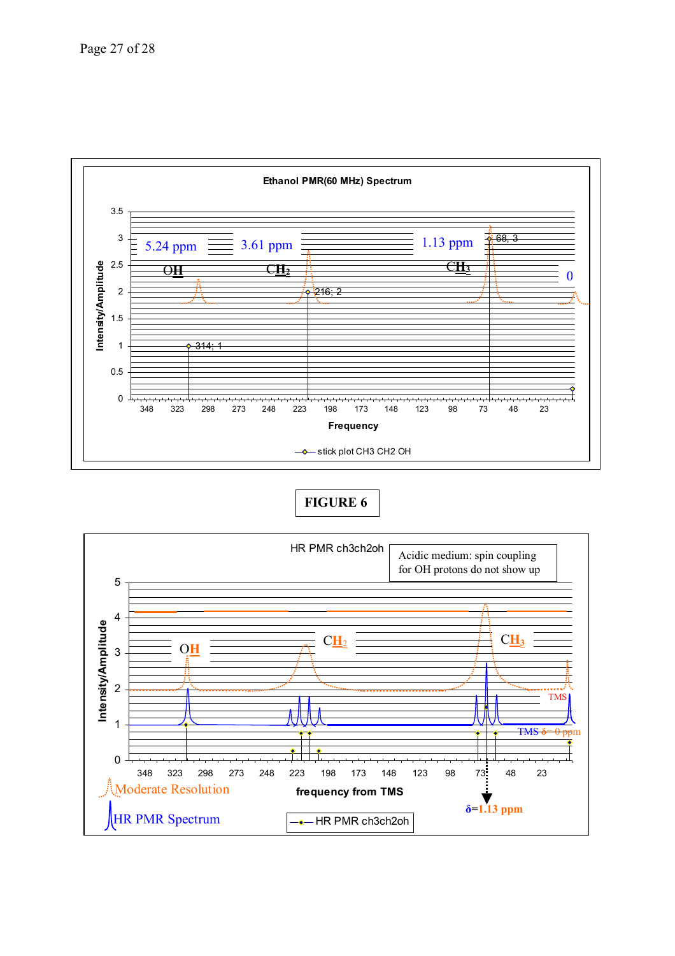

**FIGURE 6**